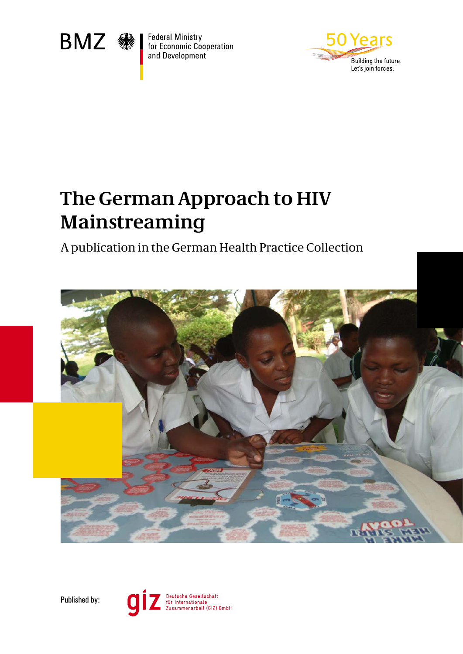

**Federal Ministry<br>for Economic Cooperation** and Development



# **The German Approach to HIV Mainstreaming**

A publication in the German Health Practice Collection





 $\overline{\mathbf{C}}$ 

Deutsche Gesellschaft<br>für Internationale<br>Zusammenarbeit (GIZ) GmbH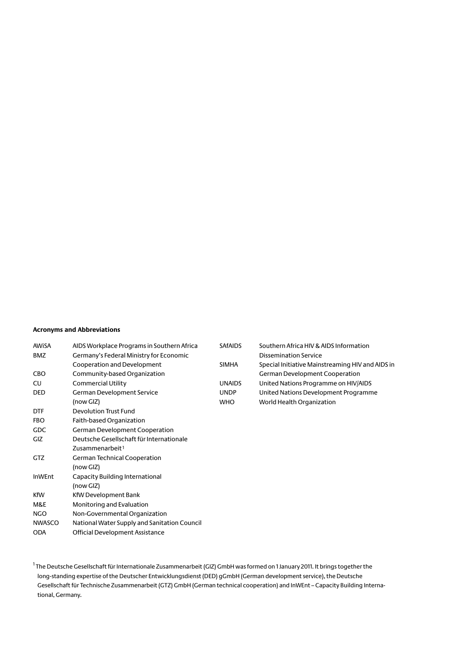#### **Acronyms and Abbreviations**

| AWiSA<br><b>BMZ</b> | AIDS Workplace Programs in Southern Africa<br>Germany's Federal Ministry for Economic | <b>SAFAIDS</b> | Southern Africa HIV & AIDS Information<br><b>Dissemination Service</b> |
|---------------------|---------------------------------------------------------------------------------------|----------------|------------------------------------------------------------------------|
|                     | Cooperation and Development                                                           | <b>SIMHA</b>   | Special Initiative Mainstreaming HIV and AIDS in                       |
| <b>CBO</b>          | Community-based Organization                                                          |                | German Development Cooperation                                         |
| CU                  | Commercial Utility                                                                    | <b>UNAIDS</b>  | United Nations Programme on HIV/AIDS                                   |
| <b>DED</b>          | German Development Service                                                            | <b>UNDP</b>    | United Nations Development Programme                                   |
|                     | (now GIZ)                                                                             | <b>WHO</b>     | World Health Organization                                              |
| <b>DTF</b>          | <b>Devolution Trust Fund</b>                                                          |                |                                                                        |
| <b>FBO</b>          | Faith-based Organization                                                              |                |                                                                        |
| <b>GDC</b>          | German Development Cooperation                                                        |                |                                                                        |
| GIZ                 | Deutsche Gesellschaft für Internationale                                              |                |                                                                        |
|                     | Zusammenarbeit <sup>1</sup>                                                           |                |                                                                        |
| <b>GTZ</b>          | German Technical Cooperation                                                          |                |                                                                        |
|                     | (now GIZ)                                                                             |                |                                                                        |
| <b>InWEnt</b>       | Capacity Building International                                                       |                |                                                                        |
|                     | (now GIZ)                                                                             |                |                                                                        |
| <b>KfW</b>          | KfW Development Bank                                                                  |                |                                                                        |
| M&E                 | Monitoring and Evaluation                                                             |                |                                                                        |
| <b>NGO</b>          | Non-Governmental Organization                                                         |                |                                                                        |
| <b>NWASCO</b>       | National Water Supply and Sanitation Council                                          |                |                                                                        |
| <b>ODA</b>          | <b>Official Development Assistance</b>                                                |                |                                                                        |

<sup>1</sup> The Deutsche Gesellschaft für Internationale Zusammenarbeit (GIZ) GmbH was formed on 1 January 2011. It brings together the long-standing expertise of the Deutscher Entwicklungsdienst (DED) gGmbH (German development service), the Deutsche Gesellschaft für Technische Zusammenarbeit (GTZ) GmbH (German technical cooperation) and InWEnt – Capacity Building International, Germany.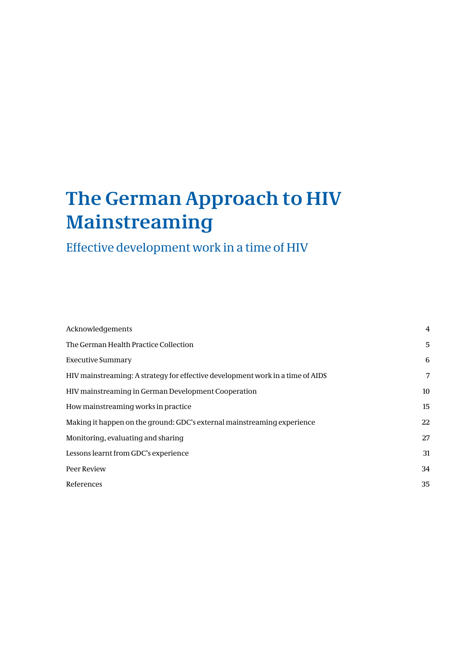# **The German Approach to HIV Mainstreaming**

### Effective development work in a time of HIV

| Acknowledgements                                                               | 4  |
|--------------------------------------------------------------------------------|----|
| The German Health Practice Collection                                          | 5  |
| <b>Executive Summary</b>                                                       | 6  |
| HIV mainstreaming: A strategy for effective development work in a time of AIDS | 7  |
| HIV mainstreaming in German Development Cooperation                            | 10 |
| How mainstreaming works in practice                                            | 15 |
| Making it happen on the ground: GDC's external mainstreaming experience        | 22 |
| Monitoring, evaluating and sharing                                             | 27 |
| Lessons learnt from GDC's experience                                           | 31 |
| Peer Review                                                                    | 34 |
| References                                                                     | 35 |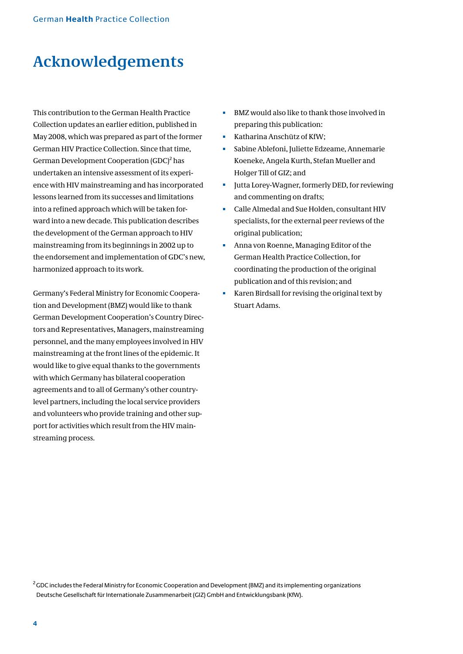### **Acknowledgements**

This contribution to the German Health Practice Collection updates an earlier edition, published in May 2008, which was prepared as part of the former German HIV Practice Collection. Since that time, German Development Cooperation (GDC)<sup>2</sup> has undertaken an intensive assessment of its experience with HIV mainstreaming and has incorporated lessons learned from its successes and limitations into a refined approach which will be taken forward into a new decade. This publication describes the development of the German approach to HIV mainstreaming from its beginnings in 2002 up to the endorsement and implementation of GDC's new, harmonized approach to its work.

Germany's Federal Ministry for Economic Cooperation and Development (BMZ) would like to thank German Development Cooperation's Country Directors and Representatives, Managers, mainstreaming personnel, and the many employees involved in HIV mainstreaming at the front lines of the epidemic. It would like to give equal thanks to the governments with which Germany has bilateral cooperation agreements and to all of Germany's other countrylevel partners, including the local service providers and volunteers who provide training and other support for activities which result from the HIV mainstreaming process.

- BMZ would also like to thank those involved in m. preparing this publication:
- Katharina Anschütz of KfW;
- Sabine Ablefoni, Juliette Edzeame, Annemarie Koeneke, Angela Kurth, Stefan Mueller and Holger Till of GIZ; and
- Jutta Lorey-Wagner, formerly DED, for reviewing H. and commenting on drafts;
- ò. Calle Almedal and Sue Holden, consultant HIV specialists, for the external peer reviews of the original publication;
- Anna von Roenne, Managing Editor of the m. German Health Practice Collection, for coordinating the production of the original publication and of this revision; and
- ú. Karen Birdsall for revising the original text by Stuart Adams.

 $2$ GDC includes the Federal Ministry for Economic Cooperation and Development (BMZ) and its implementing organizations Deutsche Gesellschaft für Internationale Zusammenarbeit (GIZ) GmbH and Entwicklungsbank (KfW).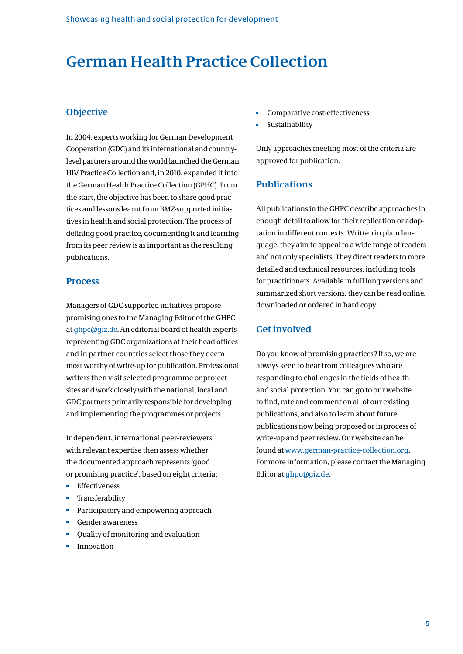### **German Health Practice Collection**

### **Objective**

In 2004, experts working for German Development Cooperation (GDC) and its international and countrylevel partners around the world launched the German HIV Practice Collection and, in 2010, expanded it into the German Health Practice Collection (GPHC). From the start, the objective has been to share good practices and lessons learnt from BMZ-supported initiatives in health and social protection. The process of defining good practice, documenting it and learning from its peer review is as important as the resulting publications.

### **Process**

Managers of GDC-supported initiatives propose promising ones to the Managing Editor of the GHPC at ghpc@giz.de. An editorial board of health experts representing GDC organizations at their head offices and in partner countries select those they deem most worthy of write-up for publication. Professional writers then visit selected programme or project sites and work closely with the national, local and GDC partners primarily responsible for developing and implementing the programmes or projects.

Independent, international peer-reviewers with relevant expertise then assess whether the documented approach represents 'good or promising practice', based on eight criteria:

- Effectiveness
- Transferability
- Participatory and empowering approach
- Gender awareness
- Quality of monitoring and evaluation
- Innovation
- Comparative cost-effectiveness Ė
- Sustainability

Only approaches meeting most of the criteria are approved for publication.

### **Publications**

All publications in the GHPC describe approaches in enough detail to allow for their replication or adaptation in different contexts. Written in plain language, they aim to appeal to a wide range of readers and not only specialists. They direct readers to more detailed and technical resources, including tools for practitioners. Available in full long versions and summarized short versions, they can be read online, downloaded or ordered in hard copy.

### **Get involved**

Do you know of promising practices? If so, we are always keen to hear from colleagues who are responding to challenges in the fields of health and social protection. You can go to our website to find, rate and comment on all of our existing publications, and also to learn about future publications now being proposed or in process of write-up and peer review. Our website can be found at www.german-practice-collection.org. For more information, please contact the Managing Editor at ghpc@giz.de.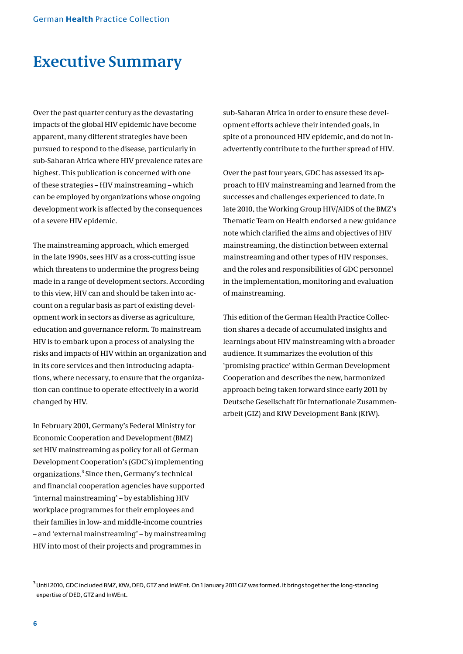### **Executive Summary**

Over the past quarter century as the devastating impacts of the global HIV epidemic have become apparent, many different strategies have been pursued to respond to the disease, particularly in sub-Saharan Africa where HIV prevalence rates are highest. This publication is concerned with one of these strategies – HIV mainstreaming – which can be employed by organizations whose ongoing development work is affected by the consequences of a severe HIV epidemic.

The mainstreaming approach, which emerged in the late 1990s, sees HIV as a cross-cutting issue which threatens to undermine the progress being made in a range of development sectors. According to this view, HIV can and should be taken into account on a regular basis as part of existing development work in sectors as diverse as agriculture, education and governance reform. To mainstream HIV is to embark upon a process of analysing the risks and impacts of HIV within an organization and in its core services and then introducing adaptations, where necessary, to ensure that the organization can continue to operate effectively in a world changed by HIV.

In February 2001, Germany's Federal Ministry for Economic Cooperation and Development (BMZ) set HIV mainstreaming as policy for all of German Development Cooperation's (GDC's) implementing organizations.<sup>3</sup> Since then, Germany's technical and financial cooperation agencies have supported 'internal mainstreaming' – by establishing HIV workplace programmes for their employees and their families in low- and middle-income countries – and 'external mainstreaming' – by mainstreaming HIV into most of their projects and programmes in

sub-Saharan Africa in order to ensure these development efforts achieve their intended goals, in spite of a pronounced HIV epidemic, and do not inadvertently contribute to the further spread of HIV.

Over the past four years, GDC has assessed its approach to HIV mainstreaming and learned from the successes and challenges experienced to date. In late 2010, the Working Group HIV/AIDS of the BMZ's Thematic Team on Health endorsed a new guidance note which clarified the aims and objectives of HIV mainstreaming, the distinction between external mainstreaming and other types of HIV responses, and the roles and responsibilities of GDC personnel in the implementation, monitoring and evaluation of mainstreaming.

This edition of the German Health Practice Collection shares a decade of accumulated insights and learnings about HIV mainstreaming with a broader audience. It summarizes the evolution of this 'promising practice' within German Development Cooperation and describes the new, harmonized approach being taken forward since early 2011 by Deutsche Gesellschaft für Internationale Zusammenarbeit (GIZ) and KfW Development Bank (KfW).

<sup>3</sup> Until 2010, GDC included BMZ, KfW, DED, GTZ and InWEnt. On 1 January 2011 GIZ was formed. It brings together the long-standing expertise of DED, GTZ and InWEnt.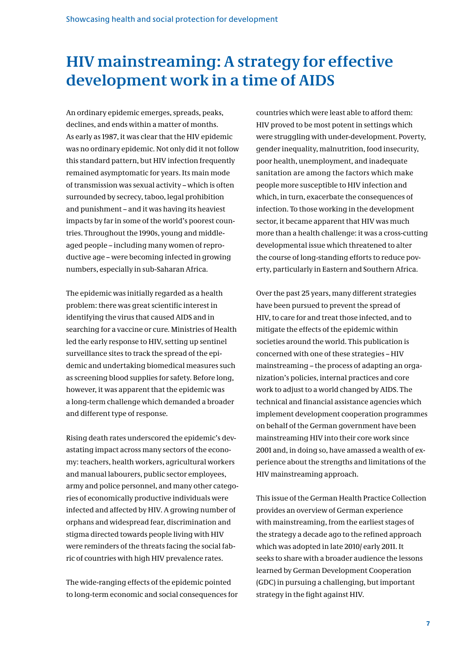### **HIV mainstreaming: A strategy for effective development work in a time of AIDS**

An ordinary epidemic emerges, spreads, peaks, declines, and ends within a matter of months. As early as 1987, it was clear that the HIV epidemic was no ordinary epidemic. Not only did it not follow this standard pattern, but HIV infection frequently remained asymptomatic for years. Its main mode of transmission was sexual activity – which is often surrounded by secrecy, taboo, legal prohibition and punishment – and it was having its heaviest impacts by far in some of the world's poorest countries. Throughout the 1990s, young and middleaged people – including many women of reproductive age – were becoming infected in growing numbers, especially in sub-Saharan Africa.

The epidemic was initially regarded as a health problem: there was great scientific interest in identifying the virus that caused AIDS and in searching for a vaccine or cure. Ministries of Health led the early response to HIV, setting up sentinel surveillance sites to track the spread of the epidemic and undertaking biomedical measures such as screening blood supplies for safety. Before long, however, it was apparent that the epidemic was a long-term challenge which demanded a broader and different type of response.

Rising death rates underscored the epidemic's devastating impact across many sectors of the economy: teachers, health workers, agricultural workers and manual labourers, public sector employees, army and police personnel, and many other categories of economically productive individuals were infected and affected by HIV. A growing number of orphans and widespread fear, discrimination and stigma directed towards people living with HIV were reminders of the threats facing the social fabric of countries with high HIV prevalence rates.

The wide-ranging effects of the epidemic pointed to long-term economic and social consequences for countries which were least able to afford them: HIV proved to be most potent in settings which were struggling with under-development. Poverty, gender inequality, malnutrition, food insecurity, poor health, unemployment, and inadequate sanitation are among the factors which make people more susceptible to HIV infection and which, in turn, exacerbate the consequences of infection. To those working in the development sector, it became apparent that HIV was much more than a health challenge: it was a cross-cutting developmental issue which threatened to alter the course of long-standing efforts to reduce poverty, particularly in Eastern and Southern Africa.

Over the past 25 years, many different strategies have been pursued to prevent the spread of HIV, to care for and treat those infected, and to mitigate the effects of the epidemic within societies around the world. This publication is concerned with one of these strategies – HIV mainstreaming – the process of adapting an organization's policies, internal practices and core work to adjust to a world changed by AIDS. The technical and financial assistance agencies which implement development cooperation programmes on behalf of the German government have been mainstreaming HIV into their core work since 2001 and, in doing so, have amassed a wealth of experience about the strengths and limitations of the HIV mainstreaming approach.

This issue of the German Health Practice Collection provides an overview of German experience with mainstreaming, from the earliest stages of the strategy a decade ago to the refined approach which was adopted in late 2010/ early 2011. It seeks to share with a broader audience the lessons learned by German Development Cooperation (GDC) in pursuing a challenging, but important strategy in the fight against HIV.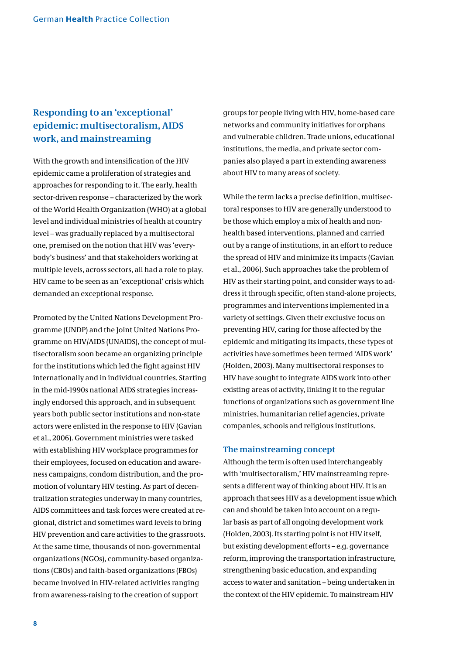### **Responding to an 'exceptional' epidemic: multisectoralism, AIDS work, and mainstreaming**

With the growth and intensification of the HIV epidemic came a proliferation of strategies and approaches for responding to it. The early, health sector-driven response – characterized by the work of the World Health Organization (WHO) at a global level and individual ministries of health at country level – was gradually replaced by a multisectoral one, premised on the notion that HIV was 'everybody's business' and that stakeholders working at multiple levels, across sectors, all had a role to play. HIV came to be seen as an 'exceptional' crisis which demanded an exceptional response.

Promoted by the United Nations Development Programme (UNDP) and the Joint United Nations Programme on HIV/AIDS (UNAIDS), the concept of multisectoralism soon became an organizing principle for the institutions which led the fight against HIV internationally and in individual countries. Starting in the mid-1990s national AIDS strategies increasingly endorsed this approach, and in subsequent years both public sector institutions and non-state actors were enlisted in the response to HIV (Gavian et al., 2006). Government ministries were tasked with establishing HIV workplace programmes for their employees, focused on education and awareness campaigns, condom distribution, and the promotion of voluntary HIV testing. As part of decentralization strategies underway in many countries, AIDS committees and task forces were created at regional, district and sometimes ward levels to bring HIV prevention and care activities to the grassroots. At the same time, thousands of non-governmental organizations (NGOs), community-based organizations (CBOs) and faith-based organizations (FBOs) became involved in HIV-related activities ranging from awareness-raising to the creation of support

groups for people living with HIV, home-based care networks and community initiatives for orphans and vulnerable children. Trade unions, educational institutions, the media, and private sector companies also played a part in extending awareness about HIV to many areas of society.

While the term lacks a precise definition, multisectoral responses to HIV are generally understood to be those which employ a mix of health and nonhealth based interventions, planned and carried out by a range of institutions, in an effort to reduce the spread of HIV and minimize its impacts (Gavian et al., 2006). Such approaches take the problem of HIV as their starting point, and consider ways to address it through specific, often stand-alone projects, programmes and interventions implemented in a variety of settings. Given their exclusive focus on preventing HIV, caring for those affected by the epidemic and mitigating its impacts, these types of activities have sometimes been termed 'AIDS work' (Holden, 2003). Many multisectoral responses to HIV have sought to integrate AIDS work into other existing areas of activity, linking it to the regular functions of organizations such as government line ministries, humanitarian relief agencies, private companies, schools and religious institutions.

#### **The mainstreaming concept**

Although the term is often used interchangeably with 'multisectoralism,' HIV mainstreaming represents a different way of thinking about HIV. It is an approach that sees HIV as a development issue which can and should be taken into account on a regular basis as part of all ongoing development work (Holden, 2003). Its starting point is not HIV itself, but existing development efforts – e.g. governance reform, improving the transportation infrastructure, strengthening basic education, and expanding access to water and sanitation – being undertaken in the context of the HIV epidemic. To mainstream HIV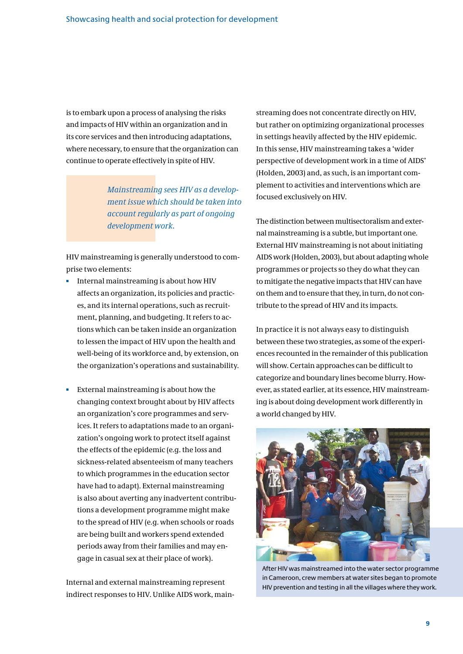is to embark upon a process of analysing the risks and impacts of HIV within an organization and in its core services and then introducing adaptations, where necessary, to ensure that the organization can continue to operate effectively in spite of HIV.

> *Mainstreaming sees HIV as a development issue which should be taken into account regularly as part of ongoing development work.*

HIV mainstreaming is generally understood to comprise two elements:

- Internal mainstreaming is about how HIV affects an organization, its policies and practices, and its internal operations, such as recruitment, planning, and budgeting. It refers to actions which can be taken inside an organization to lessen the impact of HIV upon the health and well-being of its workforce and, by extension, on the organization's operations and sustainability.
- External mainstreaming is about how the changing context brought about by HIV affects an organization's core programmes and services. It refers to adaptations made to an organization's ongoing work to protect itself against the effects of the epidemic (e.g. the loss and sickness-related absenteeism of many teachers to which programmes in the education sector have had to adapt). External mainstreaming is also about averting any inadvertent contributions a development programme might make to the spread of HIV (e.g. when schools or roads are being built and workers spend extended periods away from their families and may engage in casual sex at their place of work).

Internal and external mainstreaming represent indirect responses to HIV. Unlike AIDS work, mainstreaming does not concentrate directly on HIV, but rather on optimizing organizational processes in settings heavily affected by the HIV epidemic. In this sense, HIV mainstreaming takes a 'wider perspective of development work in a time of AIDS' (Holden, 2003) and, as such, is an important complement to activities and interventions which are focused exclusively on HIV.

The distinction between multisectoralism and external mainstreaming is a subtle, but important one. External HIV mainstreaming is not about initiating AIDS work (Holden, 2003), but about adapting whole programmes or projects so they do what they can to mitigate the negative impacts that HIV can have on them and to ensure that they, in turn, do not contribute to the spread of HIV and its impacts.

In practice it is not always easy to distinguish between these two strategies, as some of the experiences recounted in the remainder of this publication will show. Certain approaches can be difficult to categorize and boundary lines become blurry. However, as stated earlier, at its essence, HIV mainstreaming is about doing development work differently in a world changed by HIV.



After HIV was mainstreamed into the water sector programme in Cameroon, crew members at water sites began to promote HIV prevention and testing in all the villages where they work.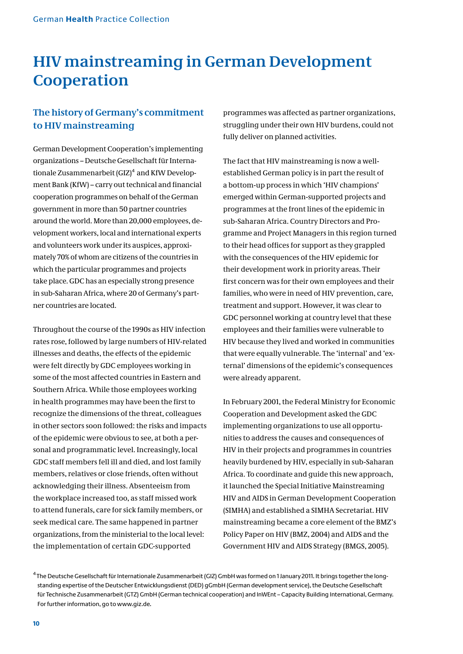# **HIV mainstreaming in German Development Cooperation**

### **The history of Germany's commitment to HIV mainstreaming**

German Development Cooperation's implementing organizations – Deutsche Gesellschaft für Internationale Zusammenarbeit (GIZ)<sup>4</sup> and KfW Development Bank (KfW) – carry out technical and financial cooperation programmes on behalf of the German government in more than 50 partner countries around the world. More than 20,000 employees, development workers, local and international experts and volunteers work under its auspices, approximately 70% of whom are citizens of the countries in which the particular programmes and projects take place. GDC has an especially strong presence in sub-Saharan Africa, where 20 of Germany's partner countries are located.

Throughout the course of the 1990s as HIV infection rates rose, followed by large numbers of HIV-related illnesses and deaths, the effects of the epidemic were felt directly by GDC employees working in some of the most affected countries in Eastern and Southern Africa. While those employees working in health programmes may have been the first to recognize the dimensions of the threat, colleagues in other sectors soon followed: the risks and impacts of the epidemic were obvious to see, at both a personal and programmatic level. Increasingly, local GDC staff members fell ill and died, and lost family members, relatives or close friends, often without acknowledging their illness. Absenteeism from the workplace increased too, as staff missed work to attend funerals, care for sick family members, or seek medical care. The same happened in partner organizations, from the ministerial to the local level: the implementation of certain GDC-supported

programmes was affected as partner organizations, struggling under their own HIV burdens, could not fully deliver on planned activities.

The fact that HIV mainstreaming is now a wellestablished German policy is in part the result of a bottom-up process in which 'HIV champions' emerged within German-supported projects and programmes at the front lines of the epidemic in sub-Saharan Africa. Country Directors and Programme and Project Managers in this region turned to their head offices for support as they grappled with the consequences of the HIV epidemic for their development work in priority areas. Their first concern was for their own employees and their families, who were in need of HIV prevention, care, treatment and support. However, it was clear to GDC personnel working at country level that these employees and their families were vulnerable to HIV because they lived and worked in communities that were equally vulnerable. The 'internal' and 'external' dimensions of the epidemic's consequences were already apparent.

In February 2001, the Federal Ministry for Economic Cooperation and Development asked the GDC implementing organizations to use all opportunities to address the causes and consequences of HIV in their projects and programmes in countries heavily burdened by HIV, especially in sub-Saharan Africa. To coordinate and guide this new approach, it launched the Special Initiative Mainstreaming HIV and AIDS in German Development Cooperation (SIMHA) and established a SIMHA Secretariat. HIV mainstreaming became a core element of the BMZ's Policy Paper on HIV (BMZ, 2004) and AIDS and the Government HIV and AIDS Strategy (BMGS, 2005).

 $4$ The Deutsche Gesellschaft für Internationale Zusammenarbeit (GIZ) GmbH was formed on 1 January 2011. It brings together the longstanding expertise of the Deutscher Entwicklungsdienst (DED) gGmbH (German development service), the Deutsche Gesellschaft für Technische Zusammenarbeit (GTZ) GmbH (German technical cooperation) and InWEnt – Capacity Building International, Germany. For further information, go to www.giz.de.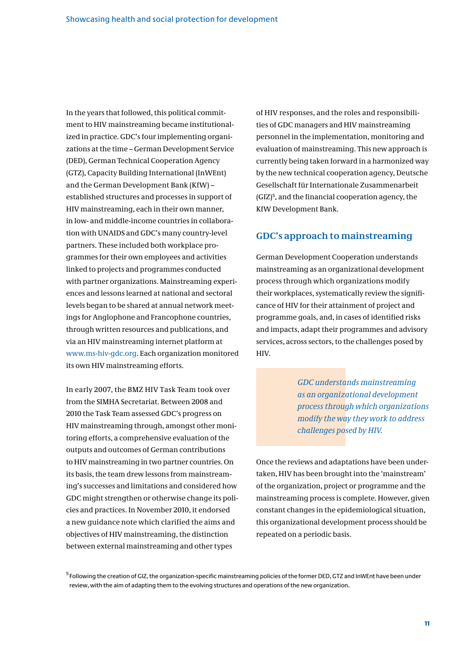In the years that followed, this political commitment to HIV mainstreaming became institutionalized in practice. GDC's four implementing organizations at the time – German Development Service (DED), German Technical Cooperation Agency (GTZ), Capacity Building International (InWEnt) and the German Development Bank (KfW) – established structures and processes in support of HIV mainstreaming, each in their own manner, in low- and middle-income countries in collaboration with UNAIDS and GDC's many country-level partners. These included both workplace programmes for their own employees and activities linked to projects and programmes conducted with partner organizations. Mainstreaming experiences and lessons learned at national and sectoral levels began to be shared at annual network meetings for Anglophone and Francophone countries, through written resources and publications, and via an HIV mainstreaming internet platform at www.ms-hiv-gdc.org. Each organization monitored its own HIV mainstreaming efforts.

In early 2007, the BMZ HIV Task Team took over from the SIMHA Secretariat. Between 2008 and 2010 the Task Team assessed GDC's progress on HIV mainstreaming through, amongst other monitoring efforts, a comprehensive evaluation of the outputs and outcomes of German contributions to HIV mainstreaming in two partner countries. On its basis, the team drew lessons from mainstreaming's successes and limitations and considered how GDC might strengthen or otherwise change its policies and practices. In November 2010, it endorsed a new guidance note which clarified the aims and objectives of HIV mainstreaming, the distinction between external mainstreaming and other types

of HIV responses, and the roles and responsibilities of GDC managers and HIV mainstreaming personnel in the implementation, monitoring and evaluation of mainstreaming. This new approach is currently being taken forward in a harmonized way by the new technical cooperation agency, Deutsche Gesellschaft für Internationale Zusammenarbeit (GIZ)<sup>5</sup>, and the financial cooperation agency, the KfW Development Bank.

### **GDC's approach to mainstreaming**

German Development Cooperation understands mainstreaming as an organizational development process through which organizations modify their workplaces, systematically review the significance of HIV for their attainment of project and programme goals, and, in cases of identified risks and impacts, adapt their programmes and advisory services, across sectors, to the challenges posed by HIV.

> *GDC understands mainstreaming as an organizational development process through which organizations modify the way they work to address challenges posed by HIV.*

Once the reviews and adaptations have been undertaken, HIV has been brought into the 'mainstream' of the organization, project or programme and the mainstreaming process is complete. However, given constant changes in the epidemiological situation, this organizational development process should be repeated on a periodic basis.

 $^5$  Following the creation of GIZ, the organization-specific mainstreaming policies of the former DED, GTZ and InWEnt have been under review, with the aim of adapting them to the evolving structures and operations of the new organization.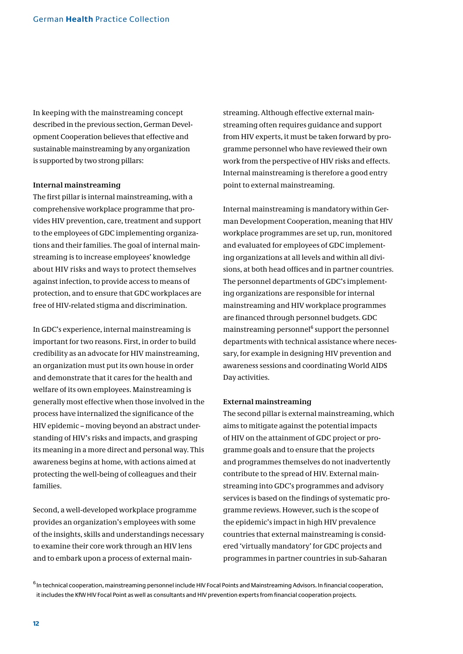In keeping with the mainstreaming concept described in the previous section, German Development Cooperation believes that effective and sustainable mainstreaming by any organization is supported by two strong pillars:

#### **Internal mainstreaming**

The first pillar is internal mainstreaming, with a comprehensive workplace programme that provides HIV prevention, care, treatment and support to the employees of GDC implementing organizations and their families. The goal of internal mainstreaming is to increase employees' knowledge about HIV risks and ways to protect themselves against infection, to provide access to means of protection, and to ensure that GDC workplaces are free of HIV-related stigma and discrimination.

In GDC's experience, internal mainstreaming is important for two reasons. First, in order to build credibility as an advocate for HIV mainstreaming, an organization must put its own house in order and demonstrate that it cares for the health and welfare of its own employees. Mainstreaming is generally most effective when those involved in the process have internalized the significance of the HIV epidemic – moving beyond an abstract understanding of HIV's risks and impacts, and grasping its meaning in a more direct and personal way. This awareness begins at home, with actions aimed at protecting the well-being of colleagues and their families.

Second, a well-developed workplace programme provides an organization's employees with some of the insights, skills and understandings necessary to examine their core work through an HIV lens and to embark upon a process of external mainstreaming. Although effective external mainstreaming often requires guidance and support from HIV experts, it must be taken forward by programme personnel who have reviewed their own work from the perspective of HIV risks and effects. Internal mainstreaming is therefore a good entry point to external mainstreaming.

Internal mainstreaming is mandatory within German Development Cooperation, meaning that HIV workplace programmes are set up, run, monitored and evaluated for employees of GDC implementing organizations at all levels and within all divisions, at both head offices and in partner countries. The personnel departments of GDC's implementing organizations are responsible for internal mainstreaming and HIV workplace programmes are financed through personnel budgets. GDC mainstreaming personnel<sup>6</sup> support the personnel departments with technical assistance where necessary, for example in designing HIV prevention and awareness sessions and coordinating World AIDS Day activities.

#### **External mainstreaming**

The second pillar is external mainstreaming, which aims to mitigate against the potential impacts of HIV on the attainment of GDC project or programme goals and to ensure that the projects and programmes themselves do not inadvertently contribute to the spread of HIV. External mainstreaming into GDC's programmes and advisory services is based on the findings of systematic programme reviews. However, such is the scope of the epidemic's impact in high HIV prevalence countries that external mainstreaming is considered 'virtually mandatory' for GDC projects and programmes in partner countries in sub-Saharan

 $6$  In technical cooperation, mainstreaming personnel include HIV Focal Points and Mainstreaming Advisors. In financial cooperation, it includes the KfW HIV Focal Point as well as consultants and HIV prevention experts from financial cooperation projects.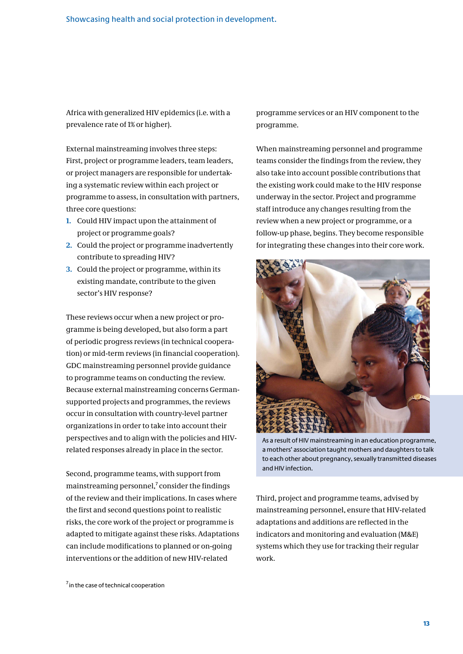Africa with generalized HIV epidemics (i.e. with a prevalence rate of 1% or higher).

External mainstreaming involves three steps: First, project or programme leaders, team leaders, or project managers are responsible for undertaking a systematic review within each project or programme to assess, in consultation with partners, three core questions:

- **1.** Could HIV impact upon the attainment of project or programme goals?
- **2.** Could the project or programme inadvertently contribute to spreading HIV?
- **3.** Could the project or programme, within its existing mandate, contribute to the given sector's HIV response?

These reviews occur when a new project or programme is being developed, but also form a part of periodic progress reviews (in technical cooperation) or mid-term reviews (in financial cooperation). GDC mainstreaming personnel provide guidance to programme teams on conducting the review. Because external mainstreaming concerns Germansupported projects and programmes, the reviews occur in consultation with country-level partner organizations in order to take into account their perspectives and to align with the policies and HIVrelated responses already in place in the sector.

Second, programme teams, with support from mainstreaming personnel, $^7$  consider the findings of the review and their implications. In cases where the first and second questions point to realistic risks, the core work of the project or programme is adapted to mitigate against these risks. Adaptations can include modifications to planned or on-going interventions or the addition of new HIV-related

programme services or an HIV component to the programme.

When mainstreaming personnel and programme teams consider the findings from the review, they also take into account possible contributions that the existing work could make to the HIV response underway in the sector. Project and programme staff introduce any changes resulting from the review when a new project or programme, or a follow-up phase, begins. They become responsible for integrating these changes into their core work.



As a result of HIV mainstreaming in an education programme, a mothers' association taught mothers and daughters to talk to each other about pregnancy, sexually transmitted diseases and HIV infection.

Third, project and programme teams, advised by mainstreaming personnel, ensure that HIV-related adaptations and additions are reflected in the indicators and monitoring and evaluation (M&E) systems which they use for tracking their regular work.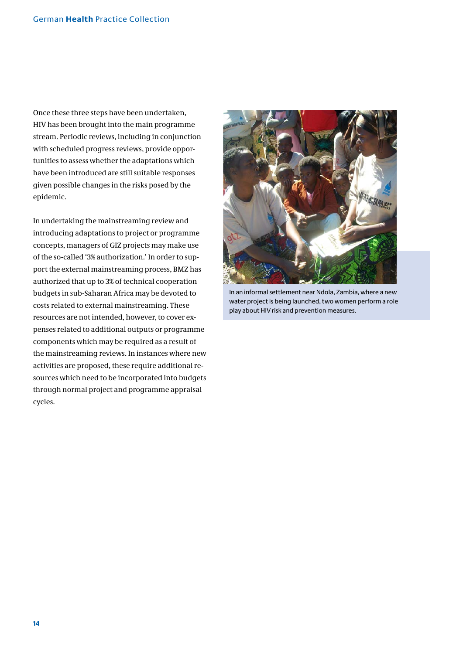Once these three steps have been undertaken, HIV has been brought into the main programme stream. Periodic reviews, including in conjunction with scheduled progress reviews, provide opportunities to assess whether the adaptations which have been introduced are still suitable responses given possible changes in the risks posed by the epidemic.

In undertaking the mainstreaming review and introducing adaptations to project or programme concepts, managers of GIZ projects may make use of the so-called '3% authorization.' In order to support the external mainstreaming process, BMZ has authorized that up to 3% of technical cooperation budgets in sub-Saharan Africa may be devoted to costs related to external mainstreaming. These resources are not intended, however, to cover expenses related to additional outputs or programme components which may be required as a result of the mainstreaming reviews. In instances where new activities are proposed, these require additional resources which need to be incorporated into budgets through normal project and programme appraisal cycles.



In an informal settlement near Ndola, Zambia, where a new water project is being launched, two women perform a role play about HIV risk and prevention measures.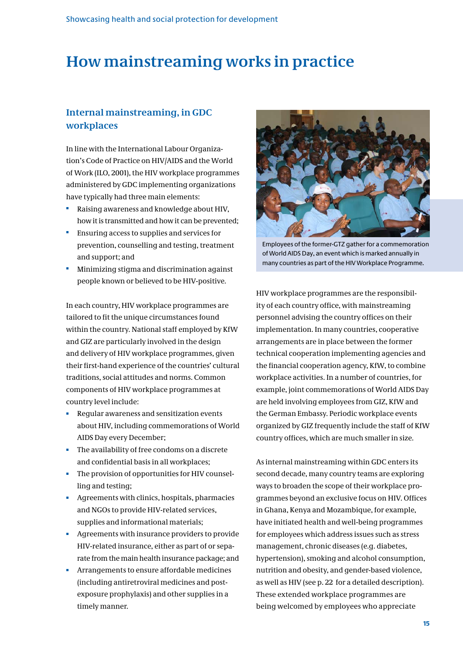### **How mainstreaming works in practice**

### **Internal mainstreaming, in GDC workplaces**

In line with the International Labour Organization's Code of Practice on HIV/AIDS and the World of Work (ILO, 2001), the HIV workplace programmes administered by GDC implementing organizations have typically had three main elements:

- Raising awareness and knowledge about HIV, how it is transmitted and how it can be prevented;
- **Ensuring access to supplies and services for**  prevention, counselling and testing, treatment and support; and
- Minimizing stigma and discrimination against people known or believed to be HIV-positive.

In each country, HIV workplace programmes are tailored to fit the unique circumstances found within the country. National staff employed by KfW and GIZ are particularly involved in the design and delivery of HIV workplace programmes, given their first-hand experience of the countries' cultural traditions, social attitudes and norms. Common components of HIV workplace programmes at country level include:

- Regular awareness and sensitization events about HIV, including commemorations of World AIDS Day every December;
- The availability of free condoms on a discrete and confidential basis in all workplaces;
- The provision of opportunities for HIV counsel ling and testing;
- Agreements with clinics, hospitals, pharmacies and NGOs to provide HIV-related services, supplies and informational materials;
- Agreements with insurance providers to provide HIV-related insurance, either as part of or sepa rate from the main health insurance package; and
- **Arrangements to ensure affordable medicines**  (including antiretroviral medicines and post exposure prophylaxis) and other supplies in a timely manner.



Employees of the former-GTZ gather for a commemoration of World AIDS Day, an event which is marked annually in many countries as part of the HIV Workplace Programme.

HIV workplace programmes are the responsibility of each country office, with mainstreaming personnel advising the country offices on their implementation. In many countries, cooperative arrangements are in place between the former technical cooperation implementing agencies and the financial cooperation agency, KfW, to combine workplace activities. In a number of countries, for example, joint commemorations of World AIDS Day are held involving employees from GIZ, KfW and the German Embassy. Periodic workplace events organized by GIZ frequently include the staff of KfW country offices, which are much smaller in size.

As internal mainstreaming within GDC enters its second decade, many country teams are exploring ways to broaden the scope of their workplace programmes beyond an exclusive focus on HIV. Offices in Ghana, Kenya and Mozambique, for example, have initiated health and well-being programmes for employees which address issues such as stress management, chronic diseases (e.g. diabetes, hypertension), smoking and alcohol consumption, nutrition and obesity, and gender-based violence, as well as HIV (see p. 22 for a detailed description). These extended workplace programmes are being welcomed by employees who appreciate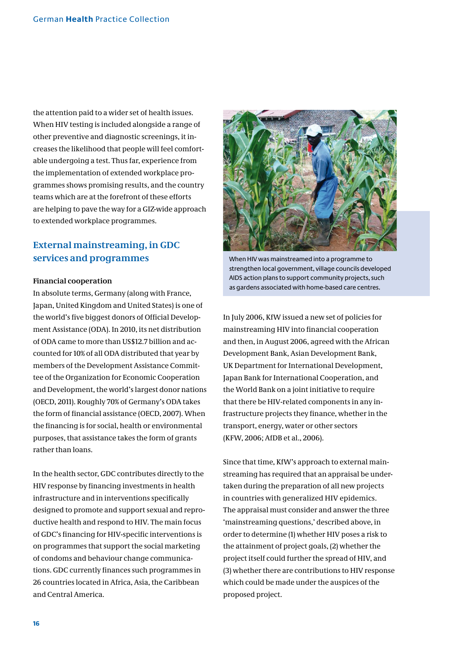the attention paid to a wider set of health issues. When HIV testing is included alongside a range of other preventive and diagnostic screenings, it increases the likelihood that people will feel comfortable undergoing a test. Thus far, experience from the implementation of extended workplace programmes shows promising results, and the country teams which are at the forefront of these efforts are helping to pave the way for a GIZ-wide approach to extended workplace programmes.

### **External mainstreaming, in GDC services and programmes**

#### **Financial cooperation**

In absolute terms, Germany (along with France, Japan, United Kingdom and United States) is one of the world's five biggest donors of Official Development Assistance (ODA). In 2010, its net distribution of ODA came to more than US\$12.7 billion and accounted for 10% of all ODA distributed that year by members of the Development Assistance Committee of the Organization for Economic Cooperation and Development, the world's largest donor nations (OECD, 2011). Roughly 70% of Germany's ODA takes the form of financial assistance (OECD, 2007). When the financing is for social, health or environmental purposes, that assistance takes the form of grants rather than loans.

In the health sector, GDC contributes directly to the HIV response by financing investments in health infrastructure and in interventions specifically designed to promote and support sexual and reproductive health and respond to HIV. The main focus of GDC's financing for HIV-specific interventions is on programmes that support the social marketing of condoms and behaviour change communications. GDC currently finances such programmes in 26 countries located in Africa, Asia, the Caribbean and Central America.



When HIV was mainstreamed into a programme to strengthen local government, village councils developed AIDS action plans to support community projects, such as gardens associated with home-based care centres.

In July 2006, KfW issued a new set of policies for mainstreaming HIV into financial cooperation and then, in August 2006, agreed with the African Development Bank, Asian Development Bank, UK Department for International Development, Japan Bank for International Cooperation, and the World Bank on a joint initiative to require that there be HIV-related components in any infrastructure projects they finance, whether in the transport, energy, water or other sectors (KFW, 2006; AfDB et al., 2006).

Since that time, KfW's approach to external mainstreaming has required that an appraisal be undertaken during the preparation of all new projects in countries with generalized HIV epidemics. The appraisal must consider and answer the three 'mainstreaming questions,' described above, in order to determine (1) whether HIV poses a risk to the attainment of project goals, (2) whether the project itself could further the spread of HIV, and (3) whether there are contributions to HIV response which could be made under the auspices of the proposed project.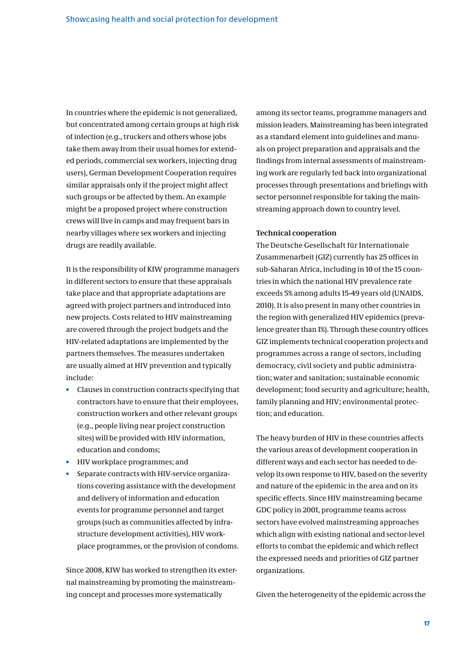In countries where the epidemic is not generalized, but concentrated among certain groups at high risk of infection (e.g., truckers and others whose jobs take them away from their usual homes for extended periods, commercial sex workers, injecting drug users), German Development Cooperation requires similar appraisals only if the project might affect such groups or be affected by them. An example might be a proposed project where construction crews will live in camps and may frequent bars in nearby villages where sex workers and injecting drugs are readily available.

It is the responsibility of KfW programme managers in different sectors to ensure that these appraisals take place and that appropriate adaptations are agreed with project partners and introduced into new projects. Costs related to HIV mainstreaming are covered through the project budgets and the HIV-related adaptations are implemented by the partners themselves. The measures undertaken are usually aimed at HIV prevention and typically include:

- Clauses in construction contracts specifying that  $\mathbf{m}$  . contractors have to ensure that their employees, construction workers and other relevant groups (e.g., people living near project construction sites) will be provided with HIV information, education and condoms;
- **HIV** workplace programmes; and
- Separate contracts with HIV-service organizations covering assistance with the development and delivery of information and education events for programme personnel and target groups (such as communities affected by infrastructure development activities), HIV workplace programmes, or the provision of condoms.

Since 2008, KfW has worked to strengthen its external mainstreaming by promoting the mainstreaming concept and processes more systematically

among its sector teams, programme managers and mission leaders. Mainstreaming has been integrated as a standard element into guidelines and manuals on project preparation and appraisals and the findings from internal assessments of mainstreaming work are regularly fed back into organizational processes through presentations and briefings with sector personnel responsible for taking the mainstreaming approach down to country level.

#### **Technical cooperation**

The Deutsche Gesellschaft für Internationale Zusammenarbeit (GIZ) currently has 25 offices in sub-Saharan Africa, including in 10 of the 15 countries in which the national HIV prevalence rate exceeds 5% among adults 15-49 years old (UNAIDS, 2010). It is also present in many other countries in the region with generalized HIV epidemics (prevalence greater than 1%). Through these country offices GIZ implements technical cooperation projects and programmes across a range of sectors, including democracy, civil society and public administration; water and sanitation; sustainable economic development; food security and agriculture; health, family planning and HIV; environmental protection; and education.

The heavy burden of HIV in these countries affects the various areas of development cooperation in different ways and each sector has needed to develop its own response to HIV, based on the severity and nature of the epidemic in the area and on its specific effects. Since HIV mainstreaming became GDC policy in 2001, programme teams across sectors have evolved mainstreaming approaches which align with existing national and sector-level efforts to combat the epidemic and which reflect the expressed needs and priorities of GIZ partner organizations.

Given the heterogeneity of the epidemic across the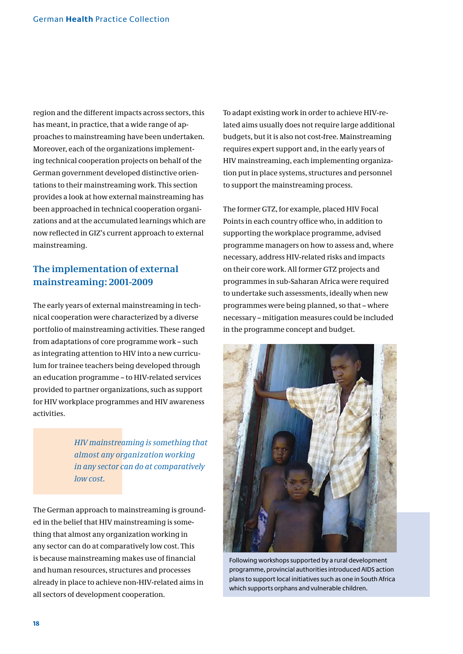region and the different impacts across sectors, this has meant, in practice, that a wide range of approaches to mainstreaming have been undertaken. Moreover, each of the organizations implementing technical cooperation projects on behalf of the German government developed distinctive orientations to their mainstreaming work. This section provides a look at how external mainstreaming has been approached in technical cooperation organizations and at the accumulated learnings which are now reflected in GIZ's current approach to external mainstreaming.

### **The implementation of external mainstreaming: 2001-2009**

The early years of external mainstreaming in technical cooperation were characterized by a diverse portfolio of mainstreaming activities. These ranged from adaptations of core programme work – such as integrating attention to HIV into a new curriculum for trainee teachers being developed through an education programme – to HIV-related services provided to partner organizations, such as support for HIV workplace programmes and HIV awareness activities.

> *HIV mainstreaming is something that almost any organization working in any sector can do at comparatively low cost.*

The German approach to mainstreaming is grounded in the belief that HIV mainstreaming is something that almost any organization working in any sector can do at comparatively low cost. This is because mainstreaming makes use of financial and human resources, structures and processes already in place to achieve non-HIV-related aims in all sectors of development cooperation.

To adapt existing work in order to achieve HIV-related aims usually does not require large additional budgets, but it is also not cost-free. Mainstreaming requires expert support and, in the early years of HIV mainstreaming, each implementing organization put in place systems, structures and personnel to support the mainstreaming process.

The former GTZ, for example, placed HIV Focal Points in each country office who, in addition to supporting the workplace programme, advised programme managers on how to assess and, where necessary, address HIV-related risks and impacts on their core work. All former GTZ projects and programmes in sub-Saharan Africa were required to undertake such assessments, ideally when new programmes were being planned, so that – where necessary – mitigation measures could be included in the programme concept and budget.



Following workshops supported by a rural development programme, provincial authorities introduced AIDS action plans to support local initiatives such as one in South Africa which supports orphans and vulnerable children.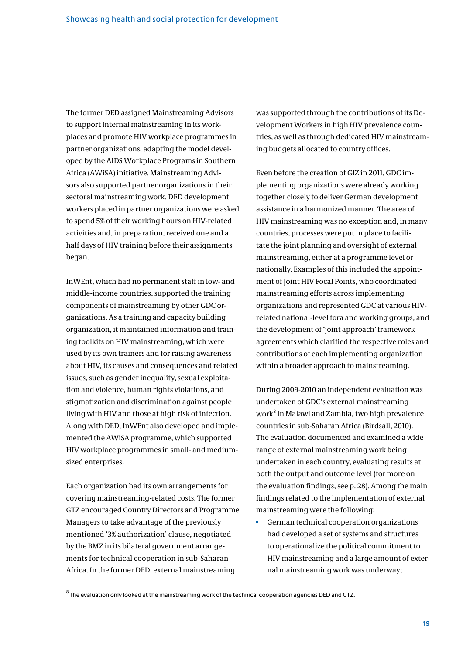The former DED assigned Mainstreaming Advisors to support internal mainstreaming in its workplaces and promote HIV workplace programmes in partner organizations, adapting the model developed by the AIDS Workplace Programs in Southern Africa (AWiSA) initiative. Mainstreaming Advisors also supported partner organizations in their sectoral mainstreaming work. DED development workers placed in partner organizations were asked to spend 5% of their working hours on HIV-related activities and, in preparation, received one and a half days of HIV training before their assignments began.

InWEnt, which had no permanent staff in low- and middle-income countries, supported the training components of mainstreaming by other GDC organizations. As a training and capacity building organization, it maintained information and training toolkits on HIV mainstreaming, which were used by its own trainers and for raising awareness about HIV, its causes and consequences and related issues, such as gender inequality, sexual exploitation and violence, human rights violations, and stigmatization and discrimination against people living with HIV and those at high risk of infection. Along with DED, InWEnt also developed and implemented the AWiSA programme, which supported HIV workplace programmes in small- and mediumsized enterprises.

Each organization had its own arrangements for covering mainstreaming-related costs. The former GTZ encouraged Country Directors and Programme Managers to take advantage of the previously mentioned '3% authorization' clause, negotiated by the BMZ in its bilateral government arrangements for technical cooperation in sub-Saharan Africa. In the former DED, external mainstreaming

was supported through the contributions of its Development Workers in high HIV prevalence countries, as well as through dedicated HIV mainstreaming budgets allocated to country offices.

Even before the creation of GIZ in 2011, GDC implementing organizations were already working together closely to deliver German development assistance in a harmonized manner. The area of HIV mainstreaming was no exception and, in many countries, processes were put in place to facilitate the joint planning and oversight of external mainstreaming, either at a programme level or nationally. Examples of this included the appointment of Joint HIV Focal Points, who coordinated mainstreaming efforts across implementing organizations and represented GDC at various HIVrelated national-level fora and working groups, and the development of 'joint approach' framework agreements which clarified the respective roles and contributions of each implementing organization within a broader approach to mainstreaming.

During 2009-2010 an independent evaluation was undertaken of GDC's external mainstreaming work<sup>8</sup> in Malawi and Zambia, two high prevalence countries in sub-Saharan Africa (Birdsall, 2010). The evaluation documented and examined a wide range of external mainstreaming work being undertaken in each country, evaluating results at both the output and outcome level (for more on the evaluation findings, see p. 28). Among the main findings related to the implementation of external mainstreaming were the following:

German technical cooperation organizations had developed a set of systems and structures to operationalize the political commitment to HIV mainstreaming and a large amount of external mainstreaming work was underway;

 $8$ The evaluation only looked at the mainstreaming work of the technical cooperation agencies DED and GTZ.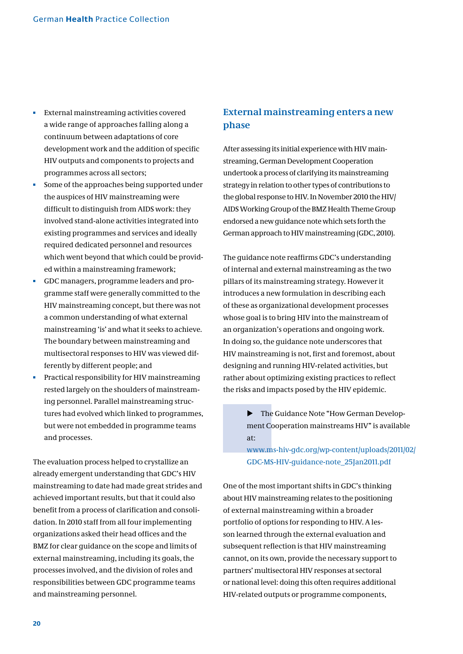- **External mainstreaming activities covered** a wide range of approaches falling along a continuum between adaptations of core development work and the addition of specific HIV outputs and components to projects and programmes across all sectors;
- Some of the approaches being supported under the auspices of HIV mainstreaming were difficult to distinguish from AIDS work: they involved stand-alone activities integrated into existing programmes and services and ideally required dedicated personnel and resources which went beyond that which could be provided within a mainstreaming framework;
- GDC managers, programme leaders and programme staff were generally committed to the HIV mainstreaming concept, but there was not a common understanding of what external mainstreaming 'is' and what it seeks to achieve. The boundary between mainstreaming and multisectoral responses to HIV was viewed differently by different people; and
- Practical responsibility for HIV mainstreaming rested largely on the shoulders of mainstreaming personnel. Parallel mainstreaming structures had evolved which linked to programmes, but were not embedded in programme teams and processes.

The evaluation process helped to crystallize an already emergent understanding that GDC's HIV mainstreaming to date had made great strides and achieved important results, but that it could also benefit from a process of clarification and consolidation. In 2010 staff from all four implementing organizations asked their head offices and the BMZ for clear guidance on the scope and limits of external mainstreaming, including its goals, the processes involved, and the division of roles and responsibilities between GDC programme teams and mainstreaming personnel.

### **External mainstreaming enters a new phase**

After assessing its initial experience with HIV mainstreaming, German Development Cooperation undertook a process of clarifying its mainstreaming strategy in relation to other types of contributions to the global response to HIV. In November 2010 the HIV/ AIDS Working Group of the BMZ Health Theme Group endorsed a new guidance note which sets forth the German approach to HIV mainstreaming (GDC, 2010).

The guidance note reaffirms GDC's understanding of internal and external mainstreaming as the two pillars of its mainstreaming strategy. However it introduces a new formulation in describing each of these as organizational development processes whose goal is to bring HIV into the mainstream of an organization's operations and ongoing work. In doing so, the guidance note underscores that HIV mainstreaming is not, first and foremost, about designing and running HIV-related activities, but rather about optimizing existing practices to reflect the risks and impacts posed by the HIV epidemic.

> **EXECUTE:** The Guidance Note "How German Development Cooperation mainstreams HIV" is available at:

[www.ms-hiv-gdc.org/wp-content/uploads/2011/02/](http://www.ms-hiv-gdc.org/wp-content/uploads/2011/02/GDC-MS-HIV-guidance-note_25Jan2011.pdf) [GDC-MS-HIV-guidance-note\\_25Jan2011.pdf](http://www.ms-hiv-gdc.org/wp-content/uploads/2011/02/GDC-MS-HIV-guidance-note_25Jan2011.pdf)

One of the most important shifts in GDC's thinking about HIV mainstreaming relates to the positioning of external mainstreaming within a broader portfolio of options for responding to HIV. A lesson learned through the external evaluation and subsequent reflection is that HIV mainstreaming cannot, on its own, provide the necessary support to partners' multisectoral HIV responses at sectoral or national level: doing this often requires additional HIV-related outputs or programme components,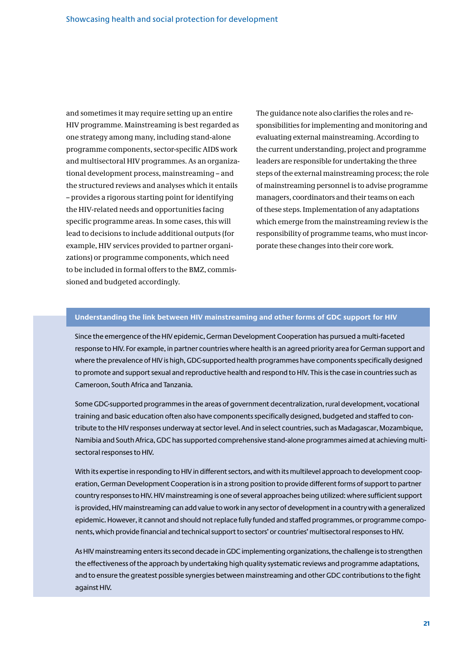and sometimes it may require setting up an entire HIV programme. Mainstreaming is best regarded as one strategy among many, including stand-alone programme components, sector-specific AIDS work and multisectoral HIV programmes. As an organizational development process, mainstreaming – and the structured reviews and analyses which it entails – provides a rigorous starting point for identifying the HIV-related needs and opportunities facing specific programme areas. In some cases, this will lead to decisions to include additional outputs (for example, HIV services provided to partner organizations) or programme components, which need to be included in formal offers to the BMZ, commissioned and budgeted accordingly.

The guidance note also clarifies the roles and responsibilities for implementing and monitoring and evaluating external mainstreaming. According to the current understanding, project and programme leaders are responsible for undertaking the three steps of the external mainstreaming process; the role of mainstreaming personnel is to advise programme managers, coordinators and their teams on each of these steps. Implementation of any adaptations which emerge from the mainstreaming review is the responsibility of programme teams, who must incorporate these changes into their core work.

#### **Understanding the link between HIV mainstreaming and other forms of GDC support for HIV**

Since the emergence of the HIV epidemic, German Development Cooperation has pursued a multi-faceted response to HIV. For example, in partner countries where health is an agreed priority area for German support and where the prevalence of HIV is high, GDC-supported health programmes have components specifically designed to promote and support sexual and reproductive health and respond to HIV. This is the case in countries such as Cameroon, South Africa and Tanzania.

Some GDC-supported programmes in the areas of government decentralization, rural development, vocational training and basic education often also have components specifically designed, budgeted and staffed to contribute to the HIV responses underway at sector level. And in select countries, such as Madagascar, Mozambique, Namibia and South Africa, GDC has supported comprehensive stand-alone programmes aimed at achieving multisectoral responses to HIV.

With its expertise in responding to HIV in different sectors, and with its multilevel approach to development cooperation, German Development Cooperation is in a strong position to provide different forms of support to partner country responses to HIV. HIV mainstreaming is one of several approaches being utilized: where sufficient support is provided. HIV mainstreaming can add value to work in any sector of development in a country with a generalized epidemic. However, it cannot and should not replace fully funded and staffed programmes, or programme components, which provide financial and technical support to sectors' or countries' multisectoral responses to HIV.

As HIV mainstreaming enters its second decade in GDC implementing organizations, the challenge is to strengthen the effectiveness of the approach by undertaking high quality systematic reviews and programme adaptations, and to ensure the greatest possible synergies between mainstreaming and other GDC contributions to the fight against HIV.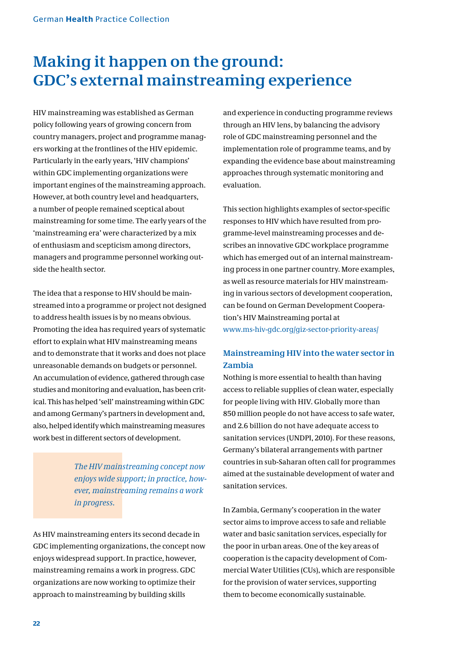## **Making it happen on the ground: GDC's external mainstreaming experience**

HIV mainstreaming was established as German policy following years of growing concern from country managers, project and programme managers working at the frontlines of the HIV epidemic. Particularly in the early years, 'HIV champions' within GDC implementing organizations were important engines of the mainstreaming approach. However, at both country level and headquarters, a number of people remained sceptical about mainstreaming for some time. The early years of the 'mainstreaming era' were characterized by a mix of enthusiasm and scepticism among directors, managers and programme personnel working outside the health sector.

The idea that a response to HIV should be mainstreamed into a programme or project not designed to address health issues is by no means obvious. Promoting the idea has required years of systematic effort to explain what HIV mainstreaming means and to demonstrate that it works and does not place unreasonable demands on budgets or personnel. An accumulation of evidence, gathered through case studies and monitoring and evaluation, has been critical. This has helped 'sell' mainstreaming within GDC and among Germany's partners in development and, also, helped identify which mainstreaming measures work best in different sectors of development.

> *The HIV mainstreaming concept now enjoys wide support; in practice, however, mainstreaming remains a work in progress.*

As HIV mainstreaming enters its second decade in GDC implementing organizations, the concept now enjoys widespread support. In practice, however, mainstreaming remains a work in progress. GDC organizations are now working to optimize their approach to mainstreaming by building skills

and experience in conducting programme reviews through an HIV lens, by balancing the advisory role of GDC mainstreaming personnel and the implementation role of programme teams, and by expanding the evidence base about mainstreaming approaches through systematic monitoring and evaluation.

This section highlights examples of sector-specific responses to HIV which have resulted from programme-level mainstreaming processes and describes an innovative GDC workplace programme which has emerged out of an internal mainstreaming process in one partner country. More examples, as well as resource materials for HIV mainstreaming in various sectors of development cooperation, can be found on German Development Cooperation's HIV Mainstreaming portal at www.ms-hiv-gdc.org/giz-sector-priority-areas/

### **Mainstreaming HIV into the water sector in Zambia**

Nothing is more essential to health than having access to reliable supplies of clean water, especially for people living with HIV. Globally more than 850 million people do not have access to safe water, and 2.6 billion do not have adequate access to sanitation services (UNDPI, 2010). For these reasons, Germany's bilateral arrangements with partner countries in sub-Saharan often call for programmes aimed at the sustainable development of water and sanitation services.

In Zambia, Germany's cooperation in the water sector aims to improve access to safe and reliable water and basic sanitation services, especially for the poor in urban areas. One of the key areas of cooperation is the capacity development of Commercial Water Utilities (CUs), which are responsible for the provision of water services, supporting them to become economically sustainable.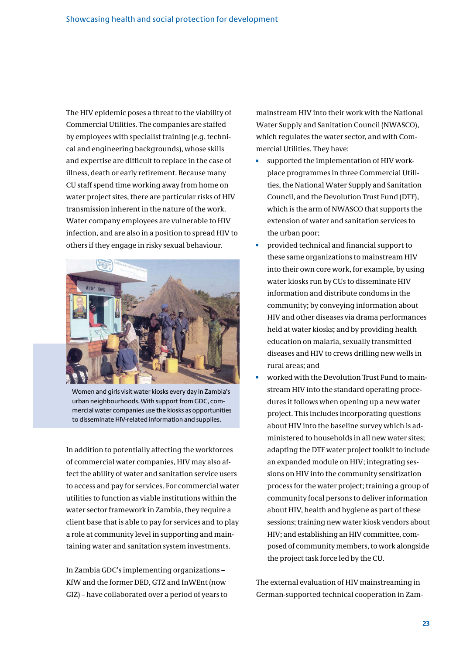The HIV epidemic poses a threat to the viability of Commercial Utilities. The companies are staffed by employees with specialist training (e.g. technical and engineering backgrounds), whose skills and expertise are difficult to replace in the case of illness, death or early retirement. Because many CU staff spend time working away from home on water project sites, there are particular risks of HIV transmission inherent in the nature of the work. Water company employees are vulnerable to HIV infection, and are also in a position to spread HIV to others if they engage in risky sexual behaviour.



Women and girls visit water kiosks every day in Zambia's urban neighbourhoods. With support from GDC, commercial water companies use the kiosks as opportunities to disseminate HIV-related information and supplies.

In addition to potentially affecting the workforces of commercial water companies, HIV may also affect the ability of water and sanitation service users to access and pay for services. For commercial water utilities to function as viable institutions within the water sector framework in Zambia, they require a client base that is able to pay for services and to play a role at community level in supporting and maintaining water and sanitation system investments.

In Zambia GDC's implementing organizations – KfW and the former DED, GTZ and InWEnt (now GIZ) – have collaborated over a period of years to mainstream HIV into their work with the National Water Supply and Sanitation Council (NWASCO), which regulates the water sector, and with Commercial Utilities. They have:

- supported the implementation of HIV workplace programmes in three Commercial Utilities, the National Water Supply and Sanitation Council, and the Devolution Trust Fund (DTF), which is the arm of NWASCO that supports the extension of water and sanitation services to the urban poor;
- è provided technical and financial support to these same organizations to mainstream HIV into their own core work, for example, by using water kiosks run by CUs to disseminate HIV information and distribute condoms in the community; by conveying information about HIV and other diseases via drama performances held at water kiosks; and by providing health education on malaria, sexually transmitted diseases and HIV to crews drilling new wells in rural areas; and
- Ì. worked with the Devolution Trust Fund to mainstream HIV into the standard operating procedures it follows when opening up a new water project. This includes incorporating questions about HIV into the baseline survey which is administered to households in all new water sites; adapting the DTF water project toolkit to include an expanded module on HIV; integrating sessions on HIV into the community sensitization process for the water project; training a group of community focal persons to deliver information about HIV, health and hygiene as part of these sessions; training new water kiosk vendors about HIV; and establishing an HIV committee, composed of community members, to work alongside the project task force led by the CU.

The external evaluation of HIV mainstreaming in German-supported technical cooperation in Zam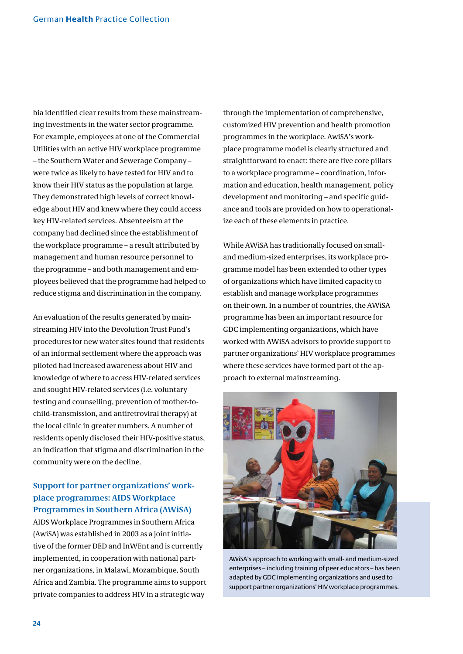bia identified clear results from these mainstreaming investments in the water sector programme. For example, employees at one of the Commercial Utilities with an active HIV workplace programme – the Southern Water and Sewerage Company – were twice as likely to have tested for HIV and to know their HIV status as the population at large. They demonstrated high levels of correct knowledge about HIV and knew where they could access key HIV-related services. Absenteeism at the company had declined since the establishment of the workplace programme – a result attributed by management and human resource personnel to the programme – and both management and employees believed that the programme had helped to reduce stigma and discrimination in the company.

An evaluation of the results generated by mainstreaming HIV into the Devolution Trust Fund's procedures for new water sites found that residents of an informal settlement where the approach was piloted had increased awareness about HIV and knowledge of where to access HIV-related services and sought HIV-related services (i.e. voluntary testing and counselling, prevention of mother-tochild-transmission, and antiretroviral therapy) at the local clinic in greater numbers. A number of residents openly disclosed their HIV-positive status, an indication that stigma and discrimination in the community were on the decline.

### **Support for partner organizations' workplace programmes: AIDS Workplace Programmes in Southern Africa (AWiSA)**

AIDS Workplace Programmes in Southern Africa (AwiSA) was established in 2003 as a joint initiative of the former DED and InWEnt and is currently implemented, in cooperation with national partner organizations, in Malawi, Mozambique, South Africa and Zambia. The programme aims to support private companies to address HIV in a strategic way

through the implementation of comprehensive, customized HIV prevention and health promotion programmes in the workplace. AwiSA's workplace programme model is clearly structured and straightforward to enact: there are five core pillars to a workplace programme – coordination, information and education, health management, policy development and monitoring – and specific guidance and tools are provided on how to operationalize each of these elements in practice.

While AWiSA has traditionally focused on smalland medium-sized enterprises, its workplace programme model has been extended to other types of organizations which have limited capacity to establish and manage workplace programmes on their own. In a number of countries, the AWiSA programme has been an important resource for GDC implementing organizations, which have worked with AWiSA advisors to provide support to partner organizations' HIV workplace programmes where these services have formed part of the approach to external mainstreaming.



AWiSA's approach to working with small- and medium-sized enterprises - including training of peer educators - has been adapted by GDC implementing organizations and used to support partner organizations' HIV workplace programmes.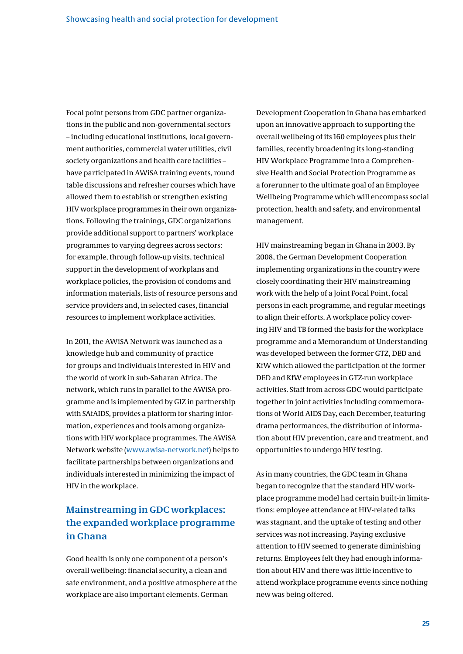Focal point persons from GDC partner organizations in the public and non-governmental sectors – including educational institutions, local government authorities, commercial water utilities, civil society organizations and health care facilities – have participated in AWiSA training events, round table discussions and refresher courses which have allowed them to establish or strengthen existing HIV workplace programmes in their own organizations. Following the trainings, GDC organizations provide additional support to partners' workplace programmes to varying degrees across sectors: for example, through follow-up visits, technical support in the development of workplans and workplace policies, the provision of condoms and information materials, lists of resource persons and service providers and, in selected cases, financial resources to implement workplace activities.

In 2011, the AWiSA Network was launched as a knowledge hub and community of practice for groups and individuals interested in HIV and the world of work in sub-Saharan Africa. The network, which runs in parallel to the AWiSA programme and is implemented by GIZ in partnership with SAfAIDS, provides a platform for sharing information, experiences and tools among organizations with HIV workplace programmes. The AWiSA Network website (www.awisa-network.net) helps to facilitate partnerships between organizations and individuals interested in minimizing the impact of HIV in the workplace.

### **Mainstreaming in GDC workplaces: the expanded workplace programme in Ghana**

Good health is only one component of a person's overall wellbeing: financial security, a clean and safe environment, and a positive atmosphere at the workplace are also important elements. German

Development Cooperation in Ghana has embarked upon an innovative approach to supporting the overall wellbeing of its 160 employees plus their families, recently broadening its long-standing HIV Workplace Programme into a Comprehensive Health and Social Protection Programme as a forerunner to the ultimate goal of an Employee Wellbeing Programme which will encompass social protection, health and safety, and environmental management.

HIV mainstreaming began in Ghana in 2003. By 2008, the German Development Cooperation implementing organizations in the country were closely coordinating their HIV mainstreaming work with the help of a Joint Focal Point, focal persons in each programme, and regular meetings to align their efforts. A workplace policy covering HIV and TB formed the basis for the workplace programme and a Memorandum of Understanding was developed between the former GTZ, DED and KfW which allowed the participation of the former DED and KfW employees in GTZ-run workplace activities. Staff from across GDC would participate together in joint activities including commemorations of World AIDS Day, each December, featuring drama performances, the distribution of information about HIV prevention, care and treatment, and opportunities to undergo HIV testing.

As in many countries, the GDC team in Ghana began to recognize that the standard HIV workplace programme model had certain built-in limitations: employee attendance at HIV-related talks was stagnant, and the uptake of testing and other services was not increasing. Paying exclusive attention to HIV seemed to generate diminishing returns. Employees felt they had enough information about HIV and there was little incentive to attend workplace programme events since nothing new was being offered.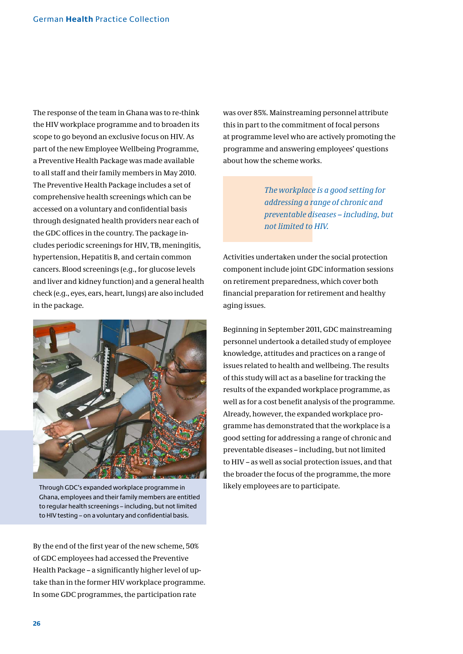The response of the team in Ghana was to re-think the HIV workplace programme and to broaden its scope to go beyond an exclusive focus on HIV. As part of the new Employee Wellbeing Programme, a Preventive Health Package was made available to all staff and their family members in May 2010. The Preventive Health Package includes a set of comprehensive health screenings which can be accessed on a voluntary and confidential basis through designated health providers near each of the GDC offices in the country. The package includes periodic screenings for HIV, TB, meningitis, hypertension, Hepatitis B, and certain common cancers. Blood screenings (e.g., for glucose levels and liver and kidney function) and a general health check (e.g., eyes, ears, heart, lungs) are also included in the package.



Through GDC's expanded workplace programme in likely employees are to participate. Ghana, employees and their family members are entitled to regular health screenings – including, but not limited to HIV testing – on a voluntary and confidential basis.

By the end of the first year of the new scheme, 50% of GDC employees had accessed the Preventive Health Package – a significantly higher level of uptake than in the former HIV workplace programme. In some GDC programmes, the participation rate

was over 85%. Mainstreaming personnel attribute this in part to the commitment of focal persons at programme level who are actively promoting the programme and answering employees' questions about how the scheme works.

> *The workplace is a good setting for addressing a range of chronic and preventable diseases – including, but not limited to HIV.*

Activities undertaken under the social protection component include joint GDC information sessions on retirement preparedness, which cover both financial preparation for retirement and healthy aging issues.

Beginning in September 2011, GDC mainstreaming personnel undertook a detailed study of employee knowledge, attitudes and practices on a range of issues related to health and wellbeing. The results of this study will act as a baseline for tracking the results of the expanded workplace programme, as well as for a cost benefit analysis of the programme. Already, however, the expanded workplace programme has demonstrated that the workplace is a good setting for addressing a range of chronic and preventable diseases – including, but not limited to HIV – as well as social protection issues, and that the broader the focus of the programme, the more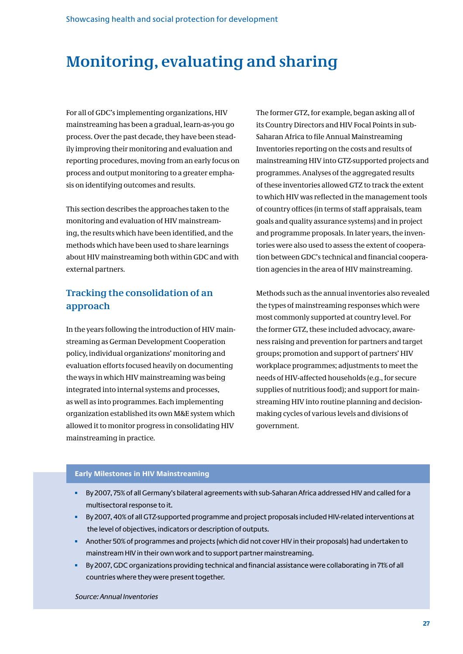### **Monitoring, evaluating and sharing**

For all of GDC's implementing organizations, HIV mainstreaming has been a gradual, learn-as-you go process. Over the past decade, they have been steadily improving their monitoring and evaluation and reporting procedures, moving from an early focus on process and output monitoring to a greater emphasis on identifying outcomes and results.

This section describes the approaches taken to the monitoring and evaluation of HIV mainstreaming, the results which have been identified, and the methods which have been used to share learnings about HIV mainstreaming both within GDC and with external partners.

### **Tracking the consolidation of an approach**

In the years following the introduction of HIV mainstreaming as German Development Cooperation policy, individual organizations' monitoring and evaluation efforts focused heavily on documenting the ways in which HIV mainstreaming was being integrated into internal systems and processes, as well as into programmes. Each implementing organization established its own M&E system which allowed it to monitor progress in consolidating HIV mainstreaming in practice.

The former GTZ, for example, began asking all of its Country Directors and HIV Focal Points in sub-Saharan Africa to file Annual Mainstreaming Inventories reporting on the costs and results of mainstreaming HIV into GTZ-supported projects and programmes. Analyses of the aggregated results of these inventories allowed GTZ to track the extent to which HIV was reflected in the management tools of country offices (in terms of staff appraisals, team goals and quality assurance systems) and in project and programme proposals. In later years, the inventories were also used to assess the extent of cooperation between GDC's technical and financial cooperation agencies in the area of HIV mainstreaming.

Methods such as the annual inventories also revealed the types of mainstreaming responses which were most commonly supported at country level. For the former GTZ, these included advocacy, awareness raising and prevention for partners and target groups; promotion and support of partners' HIV workplace programmes; adjustments to meet the needs of HIV-affected households (e.g., for secure supplies of nutritious food); and support for mainstreaming HIV into routine planning and decisionmaking cycles of various levels and divisions of government.

### **Early Milestones in HIV Mainstreaming**

- a. By 2007, 75% of all Germany's bilateral agreements with sub-Saharan Africa addressed HIV and called for a multisectoral response to it.
- By 2007, 40% of all GTZ-supported programme and project proposals included HIV-related interventions at the level of objectives, indicators or description of outputs.
- Another 50% of programmes and projects (which did not cover HIV in their proposals) had undertaken to  $\mathbf{u}$  . mainstream HIV in their own work and to support partner mainstreaming.
- $\bar{\mathbf{u}}$ By 2007, GDC organizations providing technical and financial assistance were collaborating in 71% of all countries where they were present together.

Source: Annual Inventories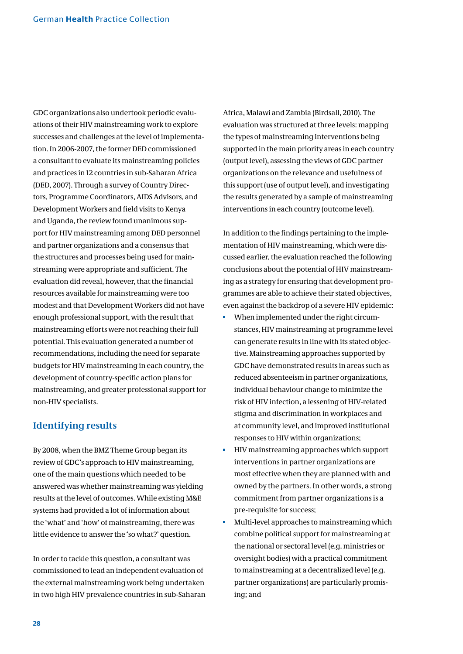GDC organizations also undertook periodic evaluations of their HIV mainstreaming work to explore successes and challenges at the level of implementation. In 2006-2007, the former DED commissioned a consultant to evaluate its mainstreaming policies and practices in 12 countries in sub-Saharan Africa (DED, 2007). Through a survey of Country Directors, Programme Coordinators, AIDS Advisors, and Development Workers and field visits to Kenya and Uganda, the review found unanimous support for HIV mainstreaming among DED personnel and partner organizations and a consensus that the structures and processes being used for mainstreaming were appropriate and sufficient. The evaluation did reveal, however, that the financial resources available for mainstreaming were too modest and that Development Workers did not have enough professional support, with the result that mainstreaming efforts were not reaching their full potential. This evaluation generated a number of recommendations, including the need for separate budgets for HIV mainstreaming in each country, the development of country-specific action plans for mainstreaming, and greater professional support for non-HIV specialists.

### **Identifying results**

By 2008, when the BMZ Theme Group began its review of GDC's approach to HIV mainstreaming, one of the main questions which needed to be answered was whether mainstreaming was yielding results at the level of outcomes. While existing M&E systems had provided a lot of information about the 'what' and 'how' of mainstreaming, there was little evidence to answer the 'so what?' question.

In order to tackle this question, a consultant was commissioned to lead an independent evaluation of the external mainstreaming work being undertaken in two high HIV prevalence countries in sub-Saharan Africa, Malawi and Zambia (Birdsall, 2010). The evaluation was structured at three levels: mapping the types of mainstreaming interventions being supported in the main priority areas in each country (output level), assessing the views of GDC partner organizations on the relevance and usefulness of this support (use of output level), and investigating the results generated by a sample of mainstreaming interventions in each country (outcome level).

In addition to the findings pertaining to the implementation of HIV mainstreaming, which were discussed earlier, the evaluation reached the following conclusions about the potential of HIV mainstreaming as a strategy for ensuring that development programmes are able to achieve their stated objectives, even against the backdrop of a severe HIV epidemic:

- m. When implemented under the right circumstances, HIV mainstreaming at programme level can generate results in line with its stated objective. Mainstreaming approaches supported by GDC have demonstrated results in areas such as reduced absenteeism in partner organizations, individual behaviour change to minimize the risk of HIV infection, a lessening of HIV-related stigma and discrimination in workplaces and at community level, and improved institutional responses to HIV within organizations;
- a. HIV mainstreaming approaches which support interventions in partner organizations are most effective when they are planned with and owned by the partners. In other words, a strong commitment from partner organizations is a pre-requisite for success;
- Multi-level approaches to mainstreaming which combine political support for mainstreaming at the national or sectoral level (e.g. ministries or oversight bodies) with a practical commitment to mainstreaming at a decentralized level (e.g. partner organizations) are particularly promising; and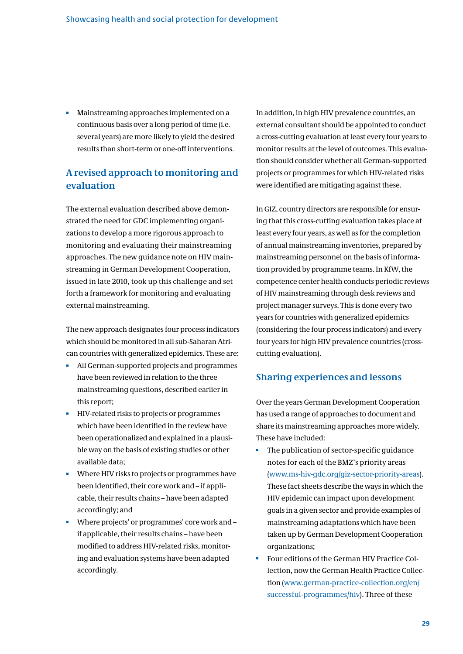Mainstreaming approaches implemented on a continuous basis over a long period of time (i.e. several years) are more likely to yield the desired results than short-term or one-off interventions.

### **A revised approach to monitoring and evaluation**

The external evaluation described above demonstrated the need for GDC implementing organizations to develop a more rigorous approach to monitoring and evaluating their mainstreaming approaches. The new guidance note on HIV mainstreaming in German Development Cooperation, issued in late 2010, took up this challenge and set forth a framework for monitoring and evaluating external mainstreaming.

The new approach designates four process indicators which should be monitored in all sub-Saharan African countries with generalized epidemics. These are:

- All German-supported projects and programmes have been reviewed in relation to the three mainstreaming questions, described earlier in this report;
- HIV-related risks to projects or programmes which have been identified in the review have been operationalized and explained in a plausible way on the basis of existing studies or other available data;
- Where HIV risks to projects or programmes have been identified, their core work and – if applicable, their results chains – have been adapted accordingly; and
- Where projects' or programmes' core work and if applicable, their results chains – have been modified to address HIV-related risks, monitoring and evaluation systems have been adapted accordingly.

In addition, in high HIV prevalence countries, an external consultant should be appointed to conduct a cross-cutting evaluation at least every four years to monitor results at the level of outcomes. This evaluation should consider whether all German-supported projects or programmes for which HIV-related risks were identified are mitigating against these.

In GIZ, country directors are responsible for ensuring that this cross-cutting evaluation takes place at least every four years, as well as for the completion of annual mainstreaming inventories, prepared by mainstreaming personnel on the basis of information provided by programme teams. In KfW, the competence center health conducts periodic reviews of HIV mainstreaming through desk reviews and project manager surveys. This is done every two years for countries with generalized epidemics (considering the four process indicators) and every four years for high HIV prevalence countries (crosscutting evaluation).

### **Sharing experiences and lessons**

Over the years German Development Cooperation has used a range of approaches to document and share its mainstreaming approaches more widely. These have included:

- è The publication of sector-specific guidance notes for each of the BMZ's priority areas (www.ms-hiv-gdc.org/giz-sector-priority-areas). These fact sheets describe the ways in which the HIV epidemic can impact upon development goals in a given sector and provide examples of mainstreaming adaptations which have been taken up by German Development Cooperation organizations;
- Four editions of the German HIV Practice Collection, now the German Health Practice Collection (www.german-practice-collection.org/en/ successful-programmes/hiv). Three of these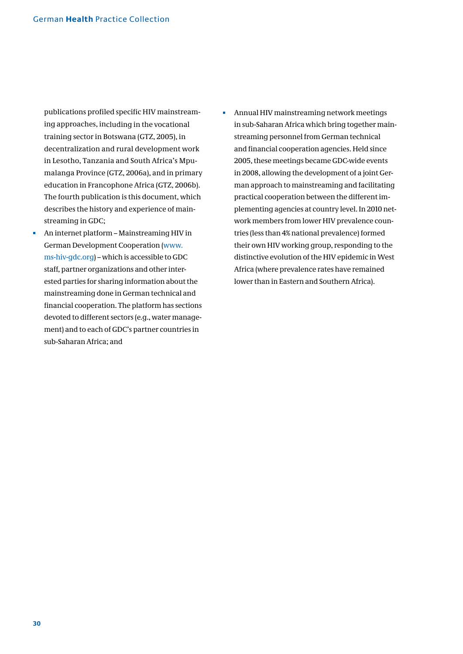publications profiled specific HIV mainstreaming approaches, including in the vocational training sector in Botswana (GTZ, 2005), in decentralization and rural development work in Lesotho, Tanzania and South Africa's Mpumalanga Province (GTZ, 2006a), and in primary education in Francophone Africa (GTZ, 2006b). The fourth publication is this document, which describes the history and experience of mainstreaming in GDC;

- Ĥ, An internet platform – Mainstreaming HIV in German Development Cooperation (www. ms-hiv-gdc.org) – which is accessible to GDC staff, partner organizations and other interested parties for sharing information about the mainstreaming done in German technical and financial cooperation. The platform has sections devoted to different sectors (e.g., water management) and to each of GDC's partner countries in sub-Saharan Africa; and
- Annual HIV mainstreaming network meetings n, in sub-Saharan Africa which bring together mainstreaming personnel from German technical and financial cooperation agencies. Held since 2005, these meetings became GDC-wide events in 2008, allowing the development of a joint German approach to mainstreaming and facilitating practical cooperation between the different implementing agencies at country level. In 2010 network members from lower HIV prevalence countries (less than 4% national prevalence) formed their own HIV working group, responding to the distinctive evolution of the HIV epidemic in West Africa (where prevalence rates have remained lower than in Eastern and Southern Africa).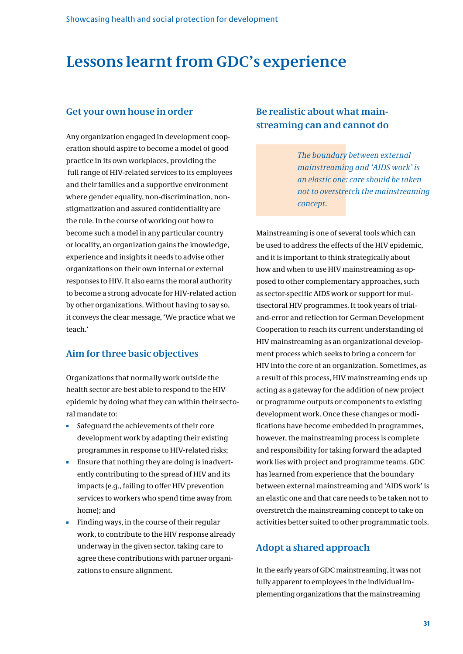### **Lessons learnt from GDC's experience**

### **Get your own house in order**

Any organization engaged in development cooperation should aspire to become a model of good practice in its own workplaces, providing the full range of HIV-related services to its employees and their families and a supportive environment where gender equality, non-discrimination, nonstigmatization and assured confidentiality are the rule. In the course of working out how to become such a model in any particular country or locality, an organization gains the knowledge, experience and insights it needs to advise other organizations on their own internal or external responses to HIV. It also earns the moral authority to become a strong advocate for HIV-related action by other organizations. Without having to say so, it conveys the clear message, 'We practice what we teach.'

### **Aim for three basic objectives**

Organizations that normally work outside the health sector are best able to respond to the HIV epidemic by doing what they can within their sectoral mandate to:

- Safeguard the achievements of their core development work by adapting their existing programmes in response to HIV-related risks;
- Ensure that nothing they are doing is inadvertently contributing to the spread of HIV and its impacts (e.g., failing to offer HIV prevention services to workers who spend time away from home); and
- Finding ways, in the course of their regular work, to contribute to the HIV response already underway in the given sector, taking care to agree these contributions with partner organizations to ensure alignment.

### **Be realistic about what mainstreaming can and cannot do**

*The boundary between external mainstreaming and 'AIDS work' is an elastic one: care should be taken not to overstretch the mainstreaming concept.* 

Mainstreaming is one of several tools which can be used to address the effects of the HIV epidemic, and it is important to think strategically about how and when to use HIV mainstreaming as opposed to other complementary approaches, such as sector-specific AIDS work or support for multisectoral HIV programmes. It took years of trialand-error and reflection for German Development Cooperation to reach its current understanding of HIV mainstreaming as an organizational development process which seeks to bring a concern for HIV into the core of an organization. Sometimes, as a result of this process, HIV mainstreaming ends up acting as a gateway for the addition of new project or programme outputs or components to existing development work. Once these changes or modifications have become embedded in programmes, however, the mainstreaming process is complete and responsibility for taking forward the adapted work lies with project and programme teams. GDC has learned from experience that the boundary between external mainstreaming and 'AIDS work' is an elastic one and that care needs to be taken not to overstretch the mainstreaming concept to take on activities better suited to other programmatic tools.

### **Adopt a shared approach**

In the early years of GDC mainstreaming, it was not fully apparent to employees in the individual implementing organizations that the mainstreaming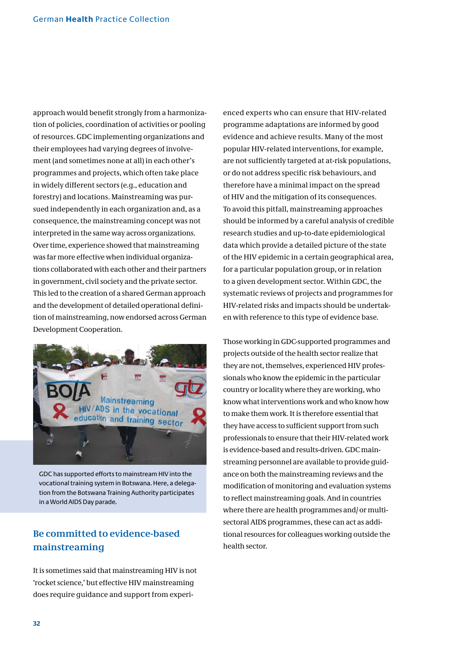approach would benefit strongly from a harmonization of policies, coordination of activities or pooling of resources. GDC implementing organizations and their employees had varying degrees of involvement (and sometimes none at all) in each other's programmes and projects, which often take place in widely different sectors (e.g., education and forestry) and locations. Mainstreaming was pursued independently in each organization and, as a consequence, the mainstreaming concept was not interpreted in the same way across organizations. Over time, experience showed that mainstreaming was far more effective when individual organizations collaborated with each other and their partners in government, civil society and the private sector. This led to the creation of a shared German approach and the development of detailed operational definition of mainstreaming, now endorsed across German Development Cooperation.



GDC has supported efforts to mainstream HIV into the vocational training system in Botswana. Here, a delegation from the Botswana Training Authority participates in a World AIDS Day parade.

### **Be committed to evidence-based mainstreaming**

It is sometimes said that mainstreaming HIV is not 'rocket science,' but effective HIV mainstreaming does require guidance and support from experienced experts who can ensure that HIV-related programme adaptations are informed by good evidence and achieve results. Many of the most popular HIV-related interventions, for example, are not sufficiently targeted at at-risk populations, or do not address specific risk behaviours, and therefore have a minimal impact on the spread of HIV and the mitigation of its consequences. To avoid this pitfall, mainstreaming approaches should be informed by a careful analysis of credible research studies and up-to-date epidemiological data which provide a detailed picture of the state of the HIV epidemic in a certain geographical area, for a particular population group, or in relation to a given development sector. Within GDC, the systematic reviews of projects and programmes for HIV-related risks and impacts should be undertaken with reference to this type of evidence base.

Those working in GDC-supported programmes and projects outside of the health sector realize that they are not, themselves, experienced HIV professionals who know the epidemic in the particular country or locality where they are working, who know what interventions work and who know how to make them work. It is therefore essential that they have access to sufficient support from such professionals to ensure that their HIV-related work is evidence-based and results-driven. GDC mainstreaming personnel are available to provide guidance on both the mainstreaming reviews and the modification of monitoring and evaluation systems to reflect mainstreaming goals. And in countries where there are health programmes and/ or multisectoral AIDS programmes, these can act as additional resources for colleagues working outside the health sector.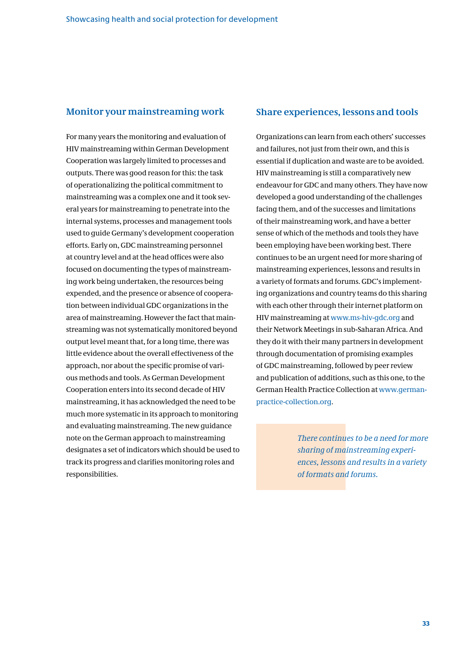### **Monitor your mainstreaming work**

For many years the monitoring and evaluation of HIV mainstreaming within German Development Cooperation was largely limited to processes and outputs. There was good reason for this: the task of operationalizing the political commitment to mainstreaming was a complex one and it took several years for mainstreaming to penetrate into the internal systems, processes and management tools used to guide Germany's development cooperation efforts. Early on, GDC mainstreaming personnel at country level and at the head offices were also focused on documenting the types of mainstreaming work being undertaken, the resources being expended, and the presence or absence of cooperation between individual GDC organizations in the area of mainstreaming. However the fact that mainstreaming was not systematically monitored beyond output level meant that, for a long time, there was little evidence about the overall effectiveness of the approach, nor about the specific promise of various methods and tools. As German Development Cooperation enters into its second decade of HIV mainstreaming, it has acknowledged the need to be much more systematic in its approach to monitoring and evaluating mainstreaming. The new guidance note on the German approach to mainstreaming designates a set of indicators which should be used to track its progress and clarifies monitoring roles and responsibilities.

### **Share experiences, lessons and tools**

Organizations can learn from each others' successes and failures, not just from their own, and this is essential if duplication and waste are to be avoided. HIV mainstreaming is still a comparatively new endeavour for GDC and many others. They have now developed a good understanding of the challenges facing them, and of the successes and limitations of their mainstreaming work, and have a better sense of which of the methods and tools they have been employing have been working best. There continues to be an urgent need for more sharing of mainstreaming experiences, lessons and results in a variety of formats and forums. GDC's implementing organizations and country teams do this sharing with each other through their internet platform on HIV mainstreaming at www.ms-hiv-gdc.org and their Network Meetings in sub-Saharan Africa. And they do it with their many partners in development through documentation of promising examples of GDC mainstreaming, followed by peer review and publication of additions, such as this one, to the German Health Practice Collection at www.germanpractice-collection.org.

> *There continues to be a need for more sharing of mainstreaming experiences, lessons and results in a variety of formats and forums.*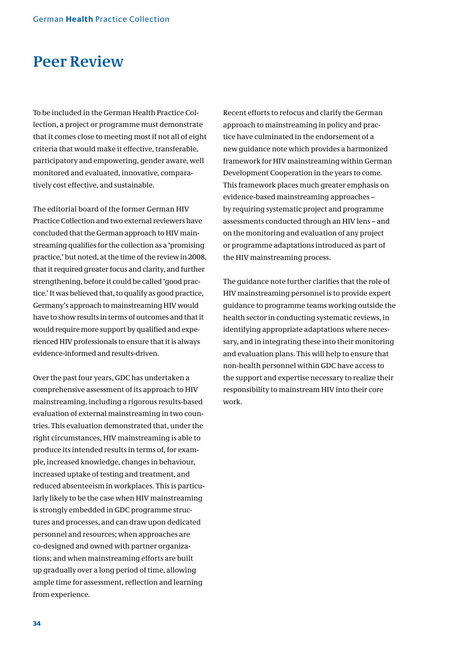### **Peer Review**

To be included in the German Health Practice Collection, a project or programme must demonstrate that it comes close to meeting most if not all of eight criteria that would make it effective, transferable, participatory and empowering, gender aware, well monitored and evaluated, innovative, comparatively cost effective, and sustainable.

The editorial board of the former German HIV Practice Collection and two external reviewers have concluded that the German approach to HIV mainstreaming qualifies for the collection as a 'promising practice,' but noted, at the time of the review in 2008, that it required greater focus and clarity, and further strengthening, before it could be called 'good practice.' It was believed that, to qualify as good practice, Germany's approach to mainstreaming HIV would have to show results in terms of outcomes and that it would require more support by qualified and experienced HIV professionals to ensure that it is always evidence-informed and results-driven.

Over the past four years, GDC has undertaken a comprehensive assessment of its approach to HIV mainstreaming, including a rigorous results-based evaluation of external mainstreaming in two countries. This evaluation demonstrated that, under the right circumstances, HIV mainstreaming is able to produce its intended results in terms of, for example, increased knowledge, changes in behaviour, increased uptake of testing and treatment, and reduced absenteeism in workplaces. This is particularly likely to be the case when HIV mainstreaming is strongly embedded in GDC programme structures and processes, and can draw upon dedicated personnel and resources; when approaches are co-designed and owned with partner organizations; and when mainstreaming efforts are built up gradually over a long period of time, allowing ample time for assessment, reflection and learning from experience.

Recent efforts to refocus and clarify the German approach to mainstreaming in policy and practice have culminated in the endorsement of a new guidance note which provides a harmonized framework for HIV mainstreaming within German Development Cooperation in the years to come. This framework places much greater emphasis on evidence-based mainstreaming approaches – by requiring systematic project and programme assessments conducted through an HIV lens – and on the monitoring and evaluation of any project or programme adaptations introduced as part of the HIV mainstreaming process.

The guidance note further clarifies that the role of HIV mainstreaming personnel is to provide expert guidance to programme teams working outside the health sector in conducting systematic reviews, in identifying appropriate adaptations where necessary, and in integrating these into their monitoring and evaluation plans. This will help to ensure that non-health personnel within GDC have access to the support and expertise necessary to realize their responsibility to mainstream HIV into their core work.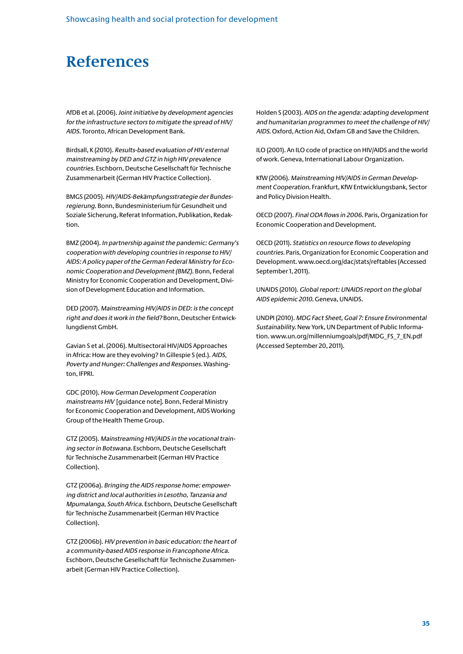### **References**

AfDB et al. (2006). Joint initiative by development agencies for the infrastructure sectors to mitigate the spread of HIV/ AIDS. Toronto, African Development Bank.

Birdsall, K (2010). Results-based evaluation of HIV external mainstreaming by DED and GTZ in high HIV prevalence countries. Eschborn, Deutsche Gesellschaft für Technische Zusammenarbeit (German HIV Practice Collection).

BMGS (2005). HIV/AIDS-Bekämpfungsstrategie der Bundesregierung. Bonn, Bundesministerium für Gesundheit und Soziale Sicherung, Referat Information, Publikation, Redaktion.

BMZ (2004). In partnership against the pandemic: Germany's cooperation with developing countries in response to HIV/ AIDS: A policy paper of the German Federal Ministry for Economic Cooperation and Development (BMZ). Bonn, Federal Ministry for Economic Cooperation and Development, Division of Development Education and Information.

DED (2007). Mainstreaming HIV/AIDS in DED: is the concept right and does it work in the field? Bonn, Deutscher Entwicklungdienst GmbH.

Gavian S et al. (2006). Multisectoral HIV/AIDS Approaches in Africa: How are they evolving? In Gillespie S (ed.). AIDS, Poverty and Hunger: Challenges and Responses. Washington, IFPRI.

GDC (2010). How German Development Cooperation mainstreams HIV [guidance note]. Bonn, Federal Ministry for Economic Cooperation and Development, AIDS Working Group of the Health Theme Group.

GTZ (2005). Mainstreaming HIV/AIDS in the vocational training sector in Botswana. Eschborn, Deutsche Gesellschaft für Technische Zusammenarbeit (German HIV Practice Collection).

GTZ (2006a). Bringing the AIDS response home: empowering district and local authorities in Lesotho, Tanzania and Mpumalanga, South Africa. Eschborn, Deutsche Gesellschaft für Technische Zusammenarbeit (German HIV Practice Collection).

GTZ (2006b). HIV prevention in basic education: the heart of a community-based AIDS response in Francophone Africa. Eschborn, Deutsche Gesellschaft für Technische Zusammenarbeit (German HIV Practice Collection).

Holden S (2003). AIDS on the agenda: adapting development and humanitarian programmes to meet the challenge of HIV/ AIDS. Oxford, Action Aid, Oxfam GB and Save the Children.

ILO (2001). An ILO code of practice on HIV/AIDS and the world of work. Geneva, International Labour Organization.

KfW (2006). Mainstreaming HIV/AIDS in German Development Cooperation. Frankfurt, KfW Entwicklungsbank, Sector and Policy Division Health.

OECD (2007). Final ODA flows in 2006. Paris, Organization for Economic Cooperation and Development.

OECD (2011). Statistics on resource flows to developing countries. Paris, Organization for Economic Cooperation and Development. www.oecd.org/dac/stats/reftables (Accessed September 1, 2011).

UNAIDS (2010). Global report: UNAIDS report on the global AIDS epidemic 2010. Geneva, UNAIDS.

UNDPI (2010). MDG Fact Sheet, Goal 7: Ensure Environmental Sustainability. New York, UN Department of Public Information. www.un.org/millenniumgoals/pdf/MDG\_FS\_7\_EN.pdf (Accessed September 20, 2011).